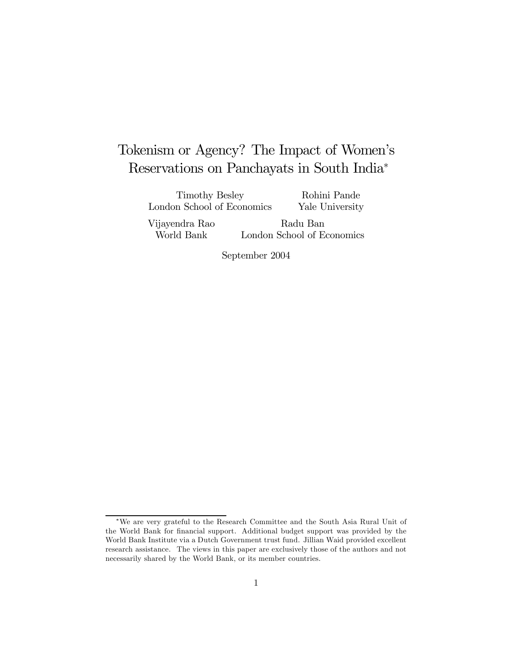# Tokenism or Agency? The Impact of Women's Reservations on Panchayats in South India<sup>∗</sup>

Timothy Besley London School of Economics Rohini Pande Yale University

Vijayendra Rao World Bank Radu Ban London School of Economics

September 2004

<sup>∗</sup>We are very grateful to the Research Committee and the South Asia Rural Unit of the World Bank for financial support. Additional budget support was provided by the World Bank Institute via a Dutch Government trust fund. Jillian Waid provided excellent research assistance. The views in this paper are exclusively those of the authors and not necessarily shared by the World Bank, or its member countries.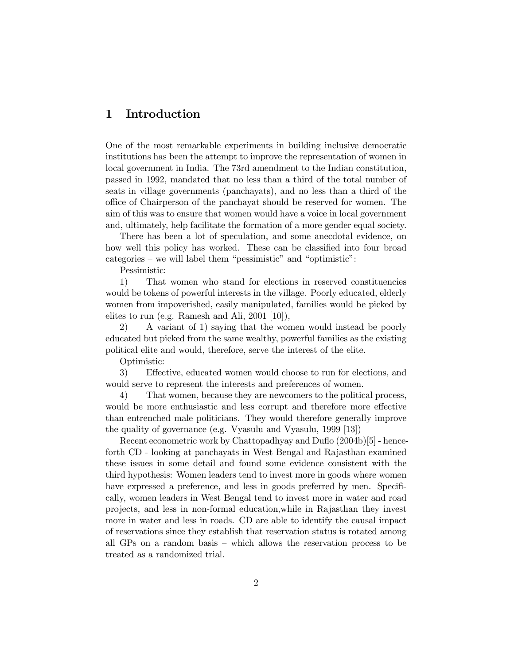# 1 Introduction

One of the most remarkable experiments in building inclusive democratic institutions has been the attempt to improve the representation of women in local government in India. The 73rd amendment to the Indian constitution, passed in 1992, mandated that no less than a third of the total number of seats in village governments (panchayats), and no less than a third of the office of Chairperson of the panchayat should be reserved for women. The aim of this was to ensure that women would have a voice in local government and, ultimately, help facilitate the formation of a more gender equal society.

There has been a lot of speculation, and some anecdotal evidence, on how well this policy has worked. These can be classified into four broad categories — we will label them "pessimistic" and "optimistic":

Pessimistic:

1) That women who stand for elections in reserved constituencies would be tokens of powerful interests in the village. Poorly educated, elderly women from impoverished, easily manipulated, families would be picked by elites to run (e.g. Ramesh and Ali, 2001 [10]),

2) A variant of 1) saying that the women would instead be poorly educated but picked from the same wealthy, powerful families as the existing political elite and would, therefore, serve the interest of the elite.

Optimistic:

3) Effective, educated women would choose to run for elections, and would serve to represent the interests and preferences of women.

4) That women, because they are newcomers to the political process, would be more enthusiastic and less corrupt and therefore more effective than entrenched male politicians. They would therefore generally improve the quality of governance (e.g. Vyasulu and Vyasulu, 1999 [13])

Recent econometric work by Chattopadhyay and Duflo (2004b)[5] - henceforth CD - looking at panchayats in West Bengal and Rajasthan examined these issues in some detail and found some evidence consistent with the third hypothesis: Women leaders tend to invest more in goods where women have expressed a preference, and less in goods preferred by men. Specifically, women leaders in West Bengal tend to invest more in water and road projects, and less in non-formal education,while in Rajasthan they invest more in water and less in roads. CD are able to identify the causal impact of reservations since they establish that reservation status is rotated among all GPs on a random basis — which allows the reservation process to be treated as a randomized trial.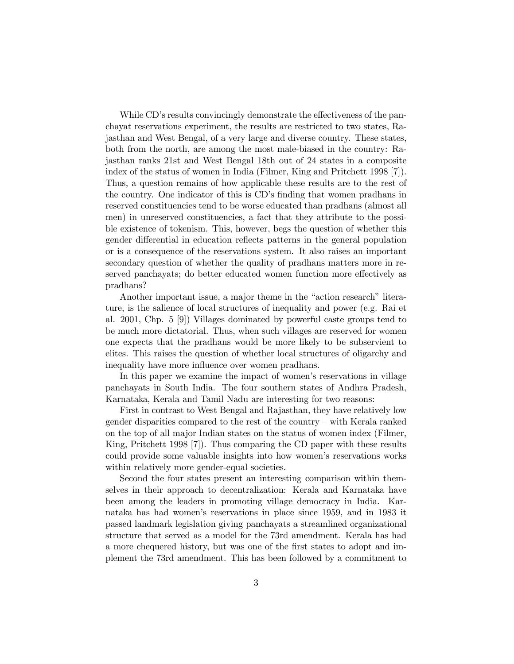While CD's results convincingly demonstrate the effectiveness of the panchayat reservations experiment, the results are restricted to two states, Rajasthan and West Bengal, of a very large and diverse country. These states, both from the north, are among the most male-biased in the country: Rajasthan ranks 21st and West Bengal 18th out of 24 states in a composite index of the status of women in India (Filmer, King and Pritchett 1998 [7]). Thus, a question remains of how applicable these results are to the rest of the country. One indicator of this is CD's finding that women pradhans in reserved constituencies tend to be worse educated than pradhans (almost all men) in unreserved constituencies, a fact that they attribute to the possible existence of tokenism. This, however, begs the question of whether this gender differential in education reflects patterns in the general population or is a consequence of the reservations system. It also raises an important secondary question of whether the quality of pradhans matters more in reserved panchayats; do better educated women function more effectively as pradhans?

Another important issue, a major theme in the "action research" literature, is the salience of local structures of inequality and power (e.g. Rai et al. 2001, Chp. 5 [9]) Villages dominated by powerful caste groups tend to be much more dictatorial. Thus, when such villages are reserved for women one expects that the pradhans would be more likely to be subservient to elites. This raises the question of whether local structures of oligarchy and inequality have more influence over women pradhans.

In this paper we examine the impact of women's reservations in village panchayats in South India. The four southern states of Andhra Pradesh, Karnataka, Kerala and Tamil Nadu are interesting for two reasons:

First in contrast to West Bengal and Rajasthan, they have relatively low gender disparities compared to the rest of the country — with Kerala ranked on the top of all major Indian states on the status of women index (Filmer, King, Pritchett 1998 [7]). Thus comparing the CD paper with these results could provide some valuable insights into how women's reservations works within relatively more gender-equal societies.

Second the four states present an interesting comparison within themselves in their approach to decentralization: Kerala and Karnataka have been among the leaders in promoting village democracy in India. Karnataka has had women's reservations in place since 1959, and in 1983 it passed landmark legislation giving panchayats a streamlined organizational structure that served as a model for the 73rd amendment. Kerala has had a more chequered history, but was one of the first states to adopt and implement the 73rd amendment. This has been followed by a commitment to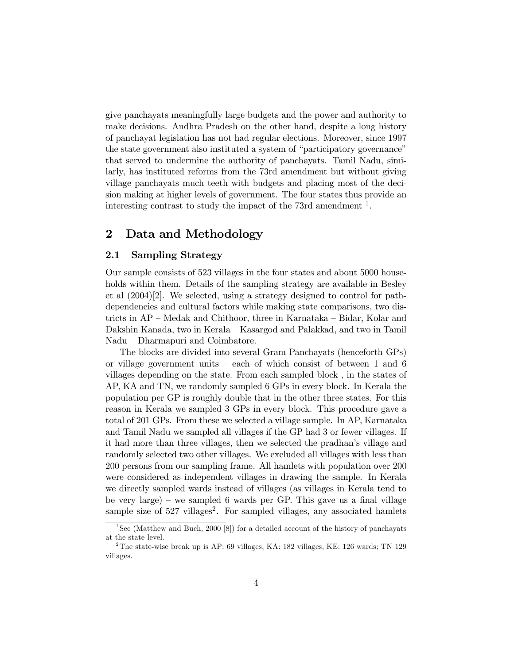give panchayats meaningfully large budgets and the power and authority to make decisions. Andhra Pradesh on the other hand, despite a long history of panchayat legislation has not had regular elections. Moreover, since 1997 the state government also instituted a system of "participatory governance" that served to undermine the authority of panchayats. Tamil Nadu, similarly, has instituted reforms from the 73rd amendment but without giving village panchayats much teeth with budgets and placing most of the decision making at higher levels of government. The four states thus provide an interesting contrast to study the impact of the 73rd amendment  $\frac{1}{1}$ .

# 2 Data and Methodology

### 2.1 Sampling Strategy

Our sample consists of 523 villages in the four states and about 5000 households within them. Details of the sampling strategy are available in Besley et al (2004)[2]. We selected, using a strategy designed to control for pathdependencies and cultural factors while making state comparisons, two districts in AP — Medak and Chithoor, three in Karnataka — Bidar, Kolar and Dakshin Kanada, two in Kerala — Kasargod and Palakkad, and two in Tamil Nadu — Dharmapuri and Coimbatore.

The blocks are divided into several Gram Panchayats (henceforth GPs) or village government units — each of which consist of between 1 and 6 villages depending on the state. From each sampled block , in the states of AP, KA and TN, we randomly sampled 6 GPs in every block. In Kerala the population per GP is roughly double that in the other three states. For this reason in Kerala we sampled 3 GPs in every block. This procedure gave a total of 201 GPs. From these we selected a village sample. In AP, Karnataka and Tamil Nadu we sampled all villages if the GP had 3 or fewer villages. If it had more than three villages, then we selected the pradhan's village and randomly selected two other villages. We excluded all villages with less than 200 persons from our sampling frame. All hamlets with population over 200 were considered as independent villages in drawing the sample. In Kerala we directly sampled wards instead of villages (as villages in Kerala tend to be very large) — we sampled 6 wards per GP. This gave us a final village sample size of  $527$  villages<sup>2</sup>. For sampled villages, any associated hamlets

<sup>&</sup>lt;sup>1</sup>See (Matthew and Buch, 2000 [8]) for a detailed account of the history of panchayats at the state level.

<sup>2</sup>The state-wise break up is AP: 69 villages, KA: 182 villages, KE: 126 wards; TN 129 villages.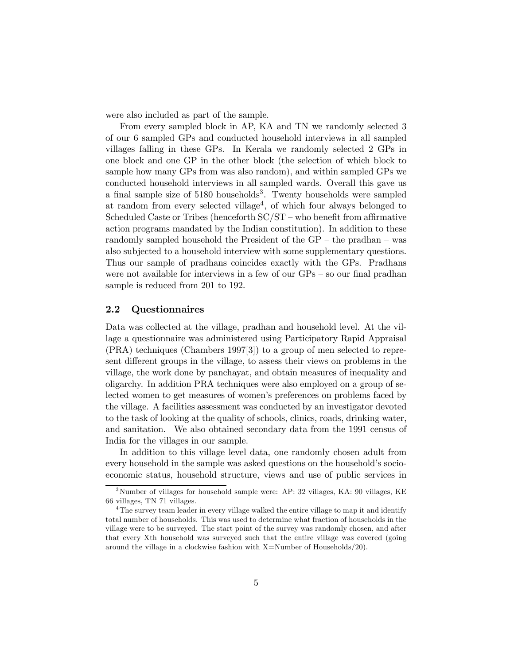were also included as part of the sample.

From every sampled block in AP, KA and TN we randomly selected 3 of our 6 sampled GPs and conducted household interviews in all sampled villages falling in these GPs. In Kerala we randomly selected 2 GPs in one block and one GP in the other block (the selection of which block to sample how many GPs from was also random), and within sampled GPs we conducted household interviews in all sampled wards. Overall this gave us a final sample size of  $5180$  households<sup>3</sup>. Twenty households were sampled at random from every selected village<sup>4</sup>, of which four always belonged to Scheduled Caste or Tribes (henceforth SC/ST — who benefit from affirmative action programs mandated by the Indian constitution). In addition to these randomly sampled household the President of the  $GP -$  the pradhan  $-$  was also subjected to a household interview with some supplementary questions. Thus our sample of pradhans coincides exactly with the GPs. Pradhans were not available for interviews in a few of our GPs — so our final pradhan sample is reduced from 201 to 192.

### 2.2 Questionnaires

Data was collected at the village, pradhan and household level. At the village a questionnaire was administered using Participatory Rapid Appraisal (PRA) techniques (Chambers 1997[3]) to a group of men selected to represent different groups in the village, to assess their views on problems in the village, the work done by panchayat, and obtain measures of inequality and oligarchy. In addition PRA techniques were also employed on a group of selected women to get measures of women's preferences on problems faced by the village. A facilities assessment was conducted by an investigator devoted to the task of looking at the quality of schools, clinics, roads, drinking water, and sanitation. We also obtained secondary data from the 1991 census of India for the villages in our sample.

In addition to this village level data, one randomly chosen adult from every household in the sample was asked questions on the household's socioeconomic status, household structure, views and use of public services in

<sup>&</sup>lt;sup>3</sup>Number of villages for household sample were: AP: 32 villages, KA: 90 villages, KE 66 villages, TN 71 villages.

 $4$ The survey team leader in every village walked the entire village to map it and identify total number of households. This was used to determine what fraction of households in the village were to be surveyed. The start point of the survey was randomly chosen, and after that every Xth household was surveyed such that the entire village was covered (going around the village in a clockwise fashion with X=Number of Households/20).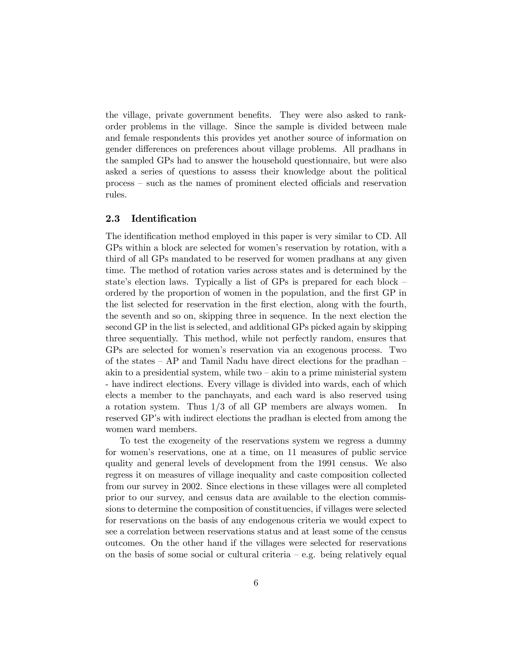the village, private government benefits. They were also asked to rankorder problems in the village. Since the sample is divided between male and female respondents this provides yet another source of information on gender differences on preferences about village problems. All pradhans in the sampled GPs had to answer the household questionnaire, but were also asked a series of questions to assess their knowledge about the political process — such as the names of prominent elected officials and reservation rules.

### 2.3 Identification

The identification method employed in this paper is very similar to CD. All GPs within a block are selected for women's reservation by rotation, with a third of all GPs mandated to be reserved for women pradhans at any given time. The method of rotation varies across states and is determined by the state's election laws. Typically a list of GPs is prepared for each block ordered by the proportion of women in the population, and the first GP in the list selected for reservation in the first election, along with the fourth, the seventh and so on, skipping three in sequence. In the next election the second GP in the list is selected, and additional GPs picked again by skipping three sequentially. This method, while not perfectly random, ensures that GPs are selected for women's reservation via an exogenous process. Two of the states — AP and Tamil Nadu have direct elections for the pradhan akin to a presidential system, while two — akin to a prime ministerial system - have indirect elections. Every village is divided into wards, each of which elects a member to the panchayats, and each ward is also reserved using a rotation system. Thus 1/3 of all GP members are always women. In reserved GP's with indirect elections the pradhan is elected from among the women ward members.

To test the exogeneity of the reservations system we regress a dummy for women's reservations, one at a time, on 11 measures of public service quality and general levels of development from the 1991 census. We also regress it on measures of village inequality and caste composition collected from our survey in 2002. Since elections in these villages were all completed prior to our survey, and census data are available to the election commissions to determine the composition of constituencies, if villages were selected for reservations on the basis of any endogenous criteria we would expect to see a correlation between reservations status and at least some of the census outcomes. On the other hand if the villages were selected for reservations on the basis of some social or cultural criteria  $-e.g.$  being relatively equal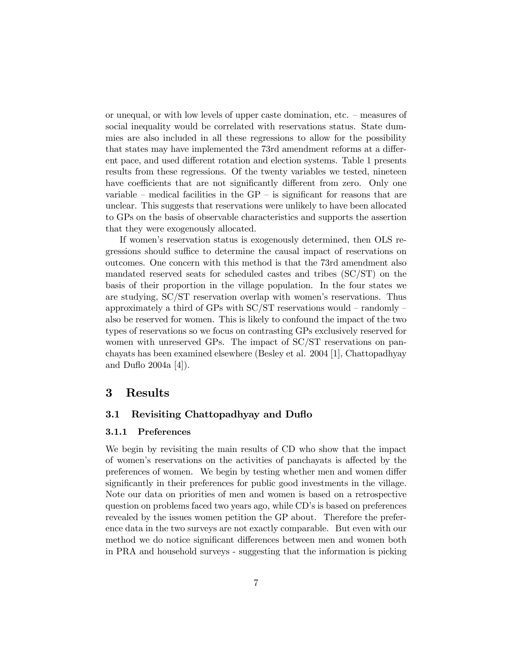or unequal, or with low levels of upper caste domination, etc. — measures of social inequality would be correlated with reservations status. State dummies are also included in all these regressions to allow for the possibility that states may have implemented the 73rd amendment reforms at a different pace, and used different rotation and election systems. Table 1 presents results from these regressions. Of the twenty variables we tested, nineteen have coefficients that are not significantly different from zero. Only one variable – medical facilities in the  $\text{GP}$  – is significant for reasons that are unclear. This suggests that reservations were unlikely to have been allocated to GPs on the basis of observable characteristics and supports the assertion that they were exogenously allocated.

If women's reservation status is exogenously determined, then OLS regressions should suffice to determine the causal impact of reservations on outcomes. One concern with this method is that the 73rd amendment also mandated reserved seats for scheduled castes and tribes (SC/ST) on the basis of their proportion in the village population. In the four states we are studying, SC/ST reservation overlap with women's reservations. Thus approximately a third of GPs with  $SC/ST$  reservations would – randomly – also be reserved for women. This is likely to confound the impact of the two types of reservations so we focus on contrasting GPs exclusively reserved for women with unreserved GPs. The impact of SC/ST reservations on panchayats has been examined elsewhere (Besley et al. 2004 [1], Chattopadhyay and Duflo 2004a [4]).

### 3 Results

### 3.1 Revisiting Chattopadhyay and Duflo

#### 3.1.1 Preferences

We begin by revisiting the main results of CD who show that the impact of women's reservations on the activities of panchayats is affected by the preferences of women. We begin by testing whether men and women differ significantly in their preferences for public good investments in the village. Note our data on priorities of men and women is based on a retrospective question on problems faced two years ago, while CD's is based on preferences revealed by the issues women petition the GP about. Therefore the preference data in the two surveys are not exactly comparable. But even with our method we do notice significant differences between men and women both in PRA and household surveys - suggesting that the information is picking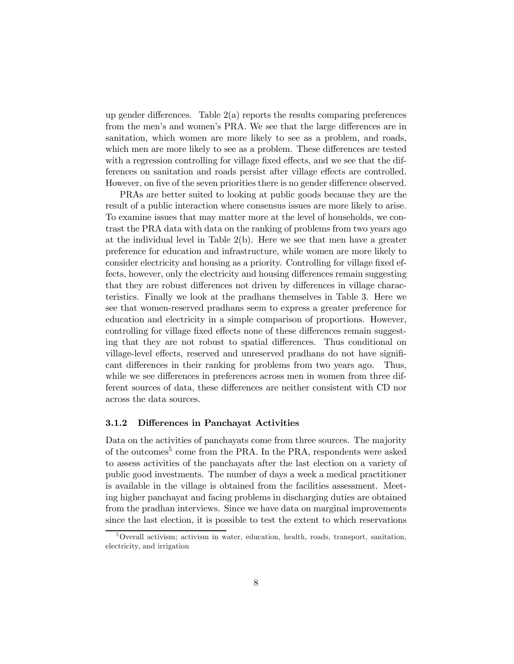up gender differences. Table  $2(a)$  reports the results comparing preferences from the men's and women's PRA. We see that the large differences are in sanitation, which women are more likely to see as a problem, and roads, which men are more likely to see as a problem. These differences are tested with a regression controlling for village fixed effects, and we see that the differences on sanitation and roads persist after village effects are controlled. However, on five of the seven priorities there is no gender difference observed.

PRAs are better suited to looking at public goods because they are the result of a public interaction where consensus issues are more likely to arise. To examine issues that may matter more at the level of households, we contrast the PRA data with data on the ranking of problems from two years ago at the individual level in Table 2(b). Here we see that men have a greater preference for education and infrastructure, while women are more likely to consider electricity and housing as a priority. Controlling for village fixed effects, however, only the electricity and housing differences remain suggesting that they are robust differences not driven by differences in village characteristics. Finally we look at the pradhans themselves in Table 3. Here we see that women-reserved pradhans seem to express a greater preference for education and electricity in a simple comparison of proportions. However, controlling for village fixed effects none of these differences remain suggesting that they are not robust to spatial differences. Thus conditional on village-level effects, reserved and unreserved pradhans do not have significant differences in their ranking for problems from two years ago. Thus, while we see differences in preferences across men in women from three different sources of data, these differences are neither consistent with CD nor across the data sources.

#### 3.1.2 Differences in Panchayat Activities

Data on the activities of panchayats come from three sources. The majority of the outcomes<sup>5</sup> come from the PRA. In the PRA, respondents were asked to assess activities of the panchayats after the last election on a variety of public good investments. The number of days a week a medical practitioner is available in the village is obtained from the facilities assessment. Meeting higher panchayat and facing problems in discharging duties are obtained from the pradhan interviews. Since we have data on marginal improvements since the last election, it is possible to test the extent to which reservations

<sup>5</sup>Overall activism; activism in water, education, health, roads, transport, sanitation, electricity, and irrigation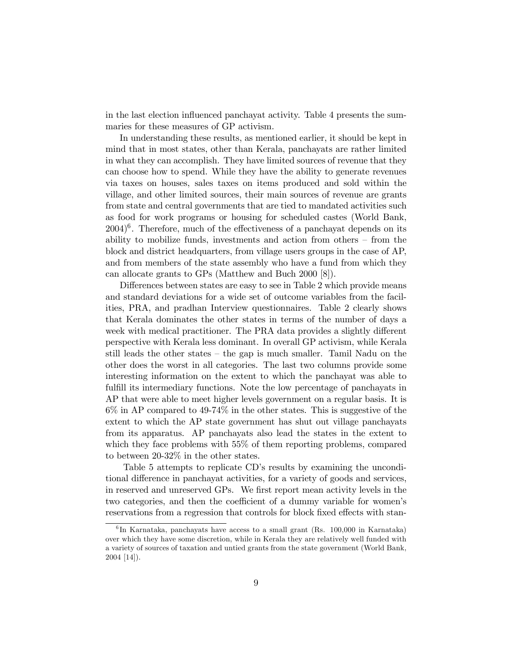in the last election influenced panchayat activity. Table 4 presents the summaries for these measures of GP activism.

In understanding these results, as mentioned earlier, it should be kept in mind that in most states, other than Kerala, panchayats are rather limited in what they can accomplish. They have limited sources of revenue that they can choose how to spend. While they have the ability to generate revenues via taxes on houses, sales taxes on items produced and sold within the village, and other limited sources, their main sources of revenue are grants from state and central governments that are tied to mandated activities such as food for work programs or housing for scheduled castes (World Bank,  $2004$ <sup>6</sup>. Therefore, much of the effectiveness of a panchayat depends on its ability to mobilize funds, investments and action from others — from the block and district headquarters, from village users groups in the case of AP, and from members of the state assembly who have a fund from which they can allocate grants to GPs (Matthew and Buch 2000 [8]).

Differences between states are easy to see in Table 2 which provide means and standard deviations for a wide set of outcome variables from the facilities, PRA, and pradhan Interview questionnaires. Table 2 clearly shows that Kerala dominates the other states in terms of the number of days a week with medical practitioner. The PRA data provides a slightly different perspective with Kerala less dominant. In overall GP activism, while Kerala still leads the other states — the gap is much smaller. Tamil Nadu on the other does the worst in all categories. The last two columns provide some interesting information on the extent to which the panchayat was able to fulfill its intermediary functions. Note the low percentage of panchayats in AP that were able to meet higher levels government on a regular basis. It is 6% in AP compared to 49-74% in the other states. This is suggestive of the extent to which the AP state government has shut out village panchayats from its apparatus. AP panchayats also lead the states in the extent to which they face problems with 55% of them reporting problems, compared to between 20-32% in the other states.

Table 5 attempts to replicate CD's results by examining the unconditional difference in panchayat activities, for a variety of goods and services, in reserved and unreserved GPs. We first report mean activity levels in the two categories, and then the coefficient of a dummy variable for women's reservations from a regression that controls for block fixed effects with stan-

 $6$ In Karnataka, panchayats have access to a small grant (Rs. 100,000 in Karnataka) over which they have some discretion, while in Kerala they are relatively well funded with a variety of sources of taxation and untied grants from the state government (World Bank, 2004 [14]).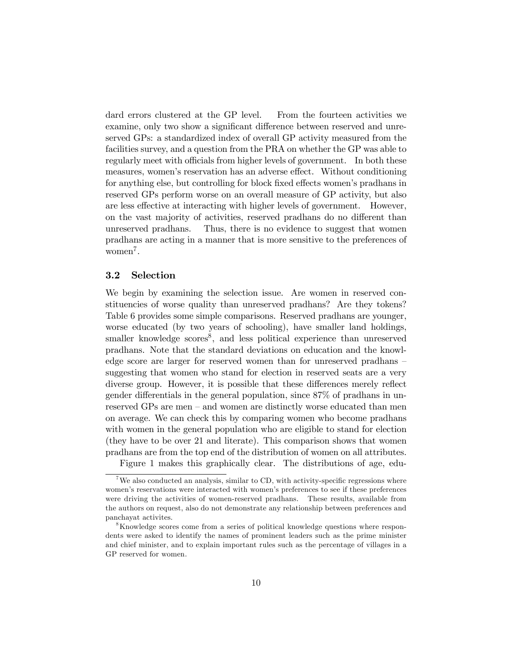dard errors clustered at the GP level. From the fourteen activities we examine, only two show a significant difference between reserved and unreserved GPs: a standardized index of overall GP activity measured from the facilities survey, and a question from the PRA on whether the GP was able to regularly meet with officials from higher levels of government. In both these measures, women's reservation has an adverse effect. Without conditioning for anything else, but controlling for block fixed effects women's pradhans in reserved GPs perform worse on an overall measure of GP activity, but also are less effective at interacting with higher levels of government. However, on the vast majority of activities, reserved pradhans do no different than unreserved pradhans. Thus, there is no evidence to suggest that women pradhans are acting in a manner that is more sensitive to the preferences of women<sup>7</sup>.

### 3.2 Selection

We begin by examining the selection issue. Are women in reserved constituencies of worse quality than unreserved pradhans? Are they tokens? Table 6 provides some simple comparisons. Reserved pradhans are younger, worse educated (by two years of schooling), have smaller land holdings, smaller knowledge  $\text{scores}^8$ , and less political experience than unreserved pradhans. Note that the standard deviations on education and the knowledge score are larger for reserved women than for unreserved pradhans suggesting that women who stand for election in reserved seats are a very diverse group. However, it is possible that these differences merely reflect gender differentials in the general population, since 87% of pradhans in unreserved GPs are men — and women are distinctly worse educated than men on average. We can check this by comparing women who become pradhans with women in the general population who are eligible to stand for election (they have to be over 21 and literate). This comparison shows that women pradhans are from the top end of the distribution of women on all attributes.

Figure 1 makes this graphically clear. The distributions of age, edu-

<sup>&</sup>lt;sup>7</sup>We also conducted an analysis, similar to CD, with activity-specific regressions where women's reservations were interacted with women's preferences to see if these preferences were driving the activities of women-reserved pradhans. These results, available from the authors on request, also do not demonstrate any relationship between preferences and panchayat activites.

<sup>&</sup>lt;sup>8</sup>Knowledge scores come from a series of political knowledge questions where respondents were asked to identify the names of prominent leaders such as the prime minister and chief minister, and to explain important rules such as the percentage of villages in a GP reserved for women.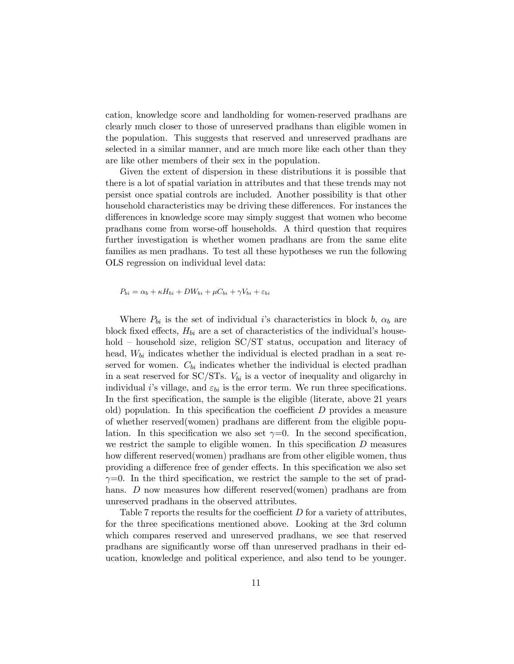cation, knowledge score and landholding for women-reserved pradhans are clearly much closer to those of unreserved pradhans than eligible women in the population. This suggests that reserved and unreserved pradhans are selected in a similar manner, and are much more like each other than they are like other members of their sex in the population.

Given the extent of dispersion in these distributions it is possible that there is a lot of spatial variation in attributes and that these trends may not persist once spatial controls are included. Another possibility is that other household characteristics may be driving these differences. For instances the differences in knowledge score may simply suggest that women who become pradhans come from worse-off households. A third question that requires further investigation is whether women pradhans are from the same elite families as men pradhans. To test all these hypotheses we run the following OLS regression on individual level data:

#### $P_{bi} = \alpha_b + \kappa H_{bi} + DW_{bi} + \mu C_{bi} + \gamma V_{bi} + \varepsilon_{bi}$

Where  $P_{bi}$  is the set of individual i's characteristics in block b,  $\alpha_b$  are block fixed effects,  $H_{bi}$  are a set of characteristics of the individual's household – household size, religion SC/ST status, occupation and literacy of head,  $W_{bi}$  indicates whether the individual is elected pradhan in a seat reserved for women.  $C_{bi}$  indicates whether the individual is elected pradhan in a seat reserved for  $SC/STs$ .  $V_{bi}$  is a vector of inequality and oligarchy in individual i's village, and  $\varepsilon_{bi}$  is the error term. We run three specifications. In the first specification, the sample is the eligible (literate, above 21 years old) population. In this specification the coefficient D provides a measure of whether reserved(women) pradhans are different from the eligible population. In this specification we also set  $\gamma=0$ . In the second specification, we restrict the sample to eligible women. In this specification  $D$  measures how different reserved(women) pradhans are from other eligible women, thus providing a difference free of gender effects. In this specification we also set  $\gamma=0$ . In the third specification, we restrict the sample to the set of pradhans. D now measures how different reserved(women) pradhans are from unreserved pradhans in the observed attributes.

Table 7 reports the results for the coefficient D for a variety of attributes, for the three specifications mentioned above. Looking at the 3rd column which compares reserved and unreserved pradhans, we see that reserved pradhans are significantly worse off than unreserved pradhans in their education, knowledge and political experience, and also tend to be younger.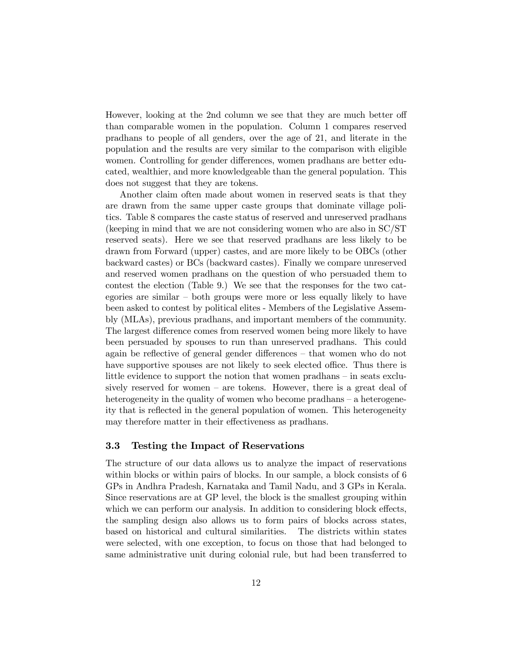However, looking at the 2nd column we see that they are much better off than comparable women in the population. Column 1 compares reserved pradhans to people of all genders, over the age of 21, and literate in the population and the results are very similar to the comparison with eligible women. Controlling for gender differences, women pradhans are better educated, wealthier, and more knowledgeable than the general population. This does not suggest that they are tokens.

Another claim often made about women in reserved seats is that they are drawn from the same upper caste groups that dominate village politics. Table 8 compares the caste status of reserved and unreserved pradhans (keeping in mind that we are not considering women who are also in SC/ST reserved seats). Here we see that reserved pradhans are less likely to be drawn from Forward (upper) castes, and are more likely to be OBCs (other backward castes) or BCs (backward castes). Finally we compare unreserved and reserved women pradhans on the question of who persuaded them to contest the election (Table 9.) We see that the responses for the two categories are similar — both groups were more or less equally likely to have been asked to contest by political elites - Members of the Legislative Assembly (MLAs), previous pradhans, and important members of the community. The largest difference comes from reserved women being more likely to have been persuaded by spouses to run than unreserved pradhans. This could again be reflective of general gender differences — that women who do not have supportive spouses are not likely to seek elected office. Thus there is little evidence to support the notion that women pradhans — in seats exclusively reserved for women — are tokens. However, there is a great deal of heterogeneity in the quality of women who become pradhans – a heterogeneity that is reflected in the general population of women. This heterogeneity may therefore matter in their effectiveness as pradhans.

### 3.3 Testing the Impact of Reservations

The structure of our data allows us to analyze the impact of reservations within blocks or within pairs of blocks. In our sample, a block consists of 6 GPs in Andhra Pradesh, Karnataka and Tamil Nadu, and 3 GPs in Kerala. Since reservations are at GP level, the block is the smallest grouping within which we can perform our analysis. In addition to considering block effects, the sampling design also allows us to form pairs of blocks across states, based on historical and cultural similarities. The districts within states were selected, with one exception, to focus on those that had belonged to same administrative unit during colonial rule, but had been transferred to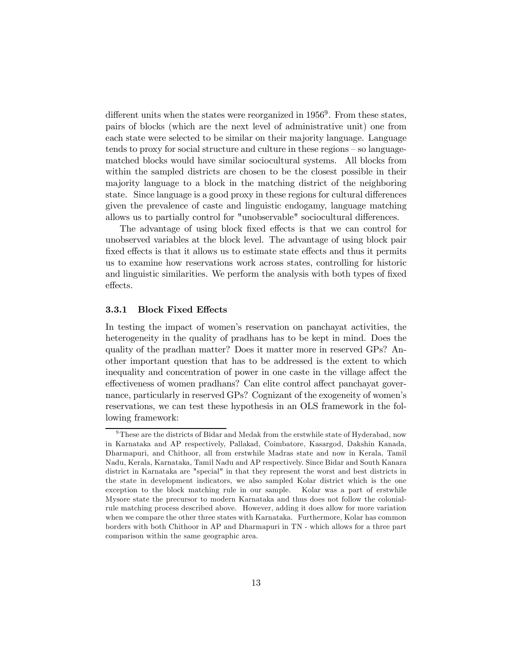different units when the states were reorganized in  $1956<sup>9</sup>$ . From these states, pairs of blocks (which are the next level of administrative unit) one from each state were selected to be similar on their majority language. Language tends to proxy for social structure and culture in these regions — so languagematched blocks would have similar sociocultural systems. All blocks from within the sampled districts are chosen to be the closest possible in their majority language to a block in the matching district of the neighboring state. Since language is a good proxy in these regions for cultural differences given the prevalence of caste and linguistic endogamy, language matching allows us to partially control for "unobservable" sociocultural differences.

The advantage of using block fixed effects is that we can control for unobserved variables at the block level. The advantage of using block pair fixed effects is that it allows us to estimate state effects and thus it permits us to examine how reservations work across states, controlling for historic and linguistic similarities. We perform the analysis with both types of fixed effects.

### 3.3.1 Block Fixed Effects

In testing the impact of women's reservation on panchayat activities, the heterogeneity in the quality of pradhans has to be kept in mind. Does the quality of the pradhan matter? Does it matter more in reserved GPs? Another important question that has to be addressed is the extent to which inequality and concentration of power in one caste in the village affect the effectiveness of women pradhans? Can elite control affect panchayat governance, particularly in reserved GPs? Cognizant of the exogeneity of women's reservations, we can test these hypothesis in an OLS framework in the following framework:

<sup>&</sup>lt;sup>9</sup>These are the districts of Bidar and Medak from the erstwhile state of Hyderabad, now in Karnataka and AP respectively, Pallakad, Coimbatore, Kasargod, Dakshin Kanada, Dharmapuri, and Chithoor, all from erstwhile Madras state and now in Kerala, Tamil Nadu, Kerala, Karnataka, Tamil Nadu and AP respectively. Since Bidar and South Kanara district in Karnataka are "special" in that they represent the worst and best districts in the state in development indicators, we also sampled Kolar district which is the one exception to the block matching rule in our sample. Kolar was a part of erstwhile Mysore state the precursor to modern Karnataka and thus does not follow the colonialrule matching process described above. However, adding it does allow for more variation when we compare the other three states with Karnataka. Furthermore, Kolar has common borders with both Chithoor in AP and Dharmapuri in TN - which allows for a three part comparison within the same geographic area.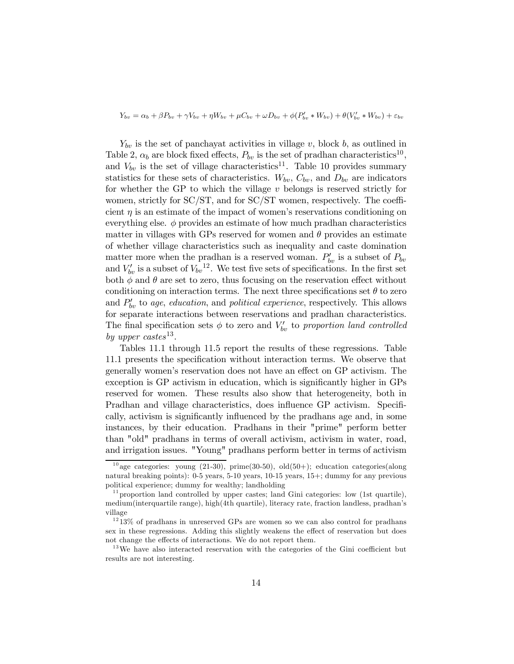$$
Y_{bv} = \alpha_b + \beta P_{bv} + \gamma V_{bv} + \eta W_{bv} + \mu C_{bv} + \omega D_{bv} + \phi (P'_{bv} * W_{bv}) + \theta (V'_{bv} * W_{bv}) + \varepsilon_{bv}
$$

 $Y_{bv}$  is the set of panchayat activities in village v, block b, as outlined in Table 2,  $\alpha_b$  are block fixed effects,  $P_{bv}$  is the set of pradhan characteristics<sup>10</sup>, and  $V_{bv}$  is the set of village characteristics<sup>11</sup>. Table 10 provides summary statistics for these sets of characteristics.  $W_{bv}$ ,  $C_{bv}$ , and  $D_{bv}$  are indicators for whether the GP to which the village  $v$  belongs is reserved strictly for women, strictly for SC/ST, and for SC/ST women, respectively. The coefficient  $\eta$  is an estimate of the impact of women's reservations conditioning on everything else.  $\phi$  provides an estimate of how much pradhan characteristics matter in villages with GPs reserved for women and  $\theta$  provides an estimate of whether village characteristics such as inequality and caste domination matter more when the pradhan is a reserved woman.  $P'_{bv}$  is a subset of  $P_{bv}$ and  $V'_{bv}$  is a subset of  $V_{bv}^{12}$ . We test five sets of specifications. In the first set both  $\phi$  and  $\theta$  are set to zero, thus focusing on the reservation effect without conditioning on interaction terms. The next three specifications set  $\theta$  to zero and  $P'_{bv}$  to age, education, and political experience, respectively. This allows for separate interactions between reservations and pradhan characteristics. The final specification sets  $\phi$  to zero and  $V'_{bv}$  to proportion land controlled by upper castes<sup>13</sup>.

Tables 11.1 through 11.5 report the results of these regressions. Table 11.1 presents the specification without interaction terms. We observe that generally women's reservation does not have an effect on GP activism. The exception is GP activism in education, which is significantly higher in GPs reserved for women. These results also show that heterogeneity, both in Pradhan and village characteristics, does influence GP activism. Specifically, activism is significantly influenced by the pradhans age and, in some instances, by their education. Pradhans in their "prime" perform better than "old" pradhans in terms of overall activism, activism in water, road, and irrigation issues. "Young" pradhans perform better in terms of activism

<sup>&</sup>lt;sup>10</sup> age categories: young (21-30), prime(30-50), old(50+); education categories(along natural breaking points): 0-5 years, 5-10 years, 10-15 years, 15+; dummy for any previous political experience; dummy for wealthy; landholding

 $11$  proportion land controlled by upper castes; land Gini categories: low (1st quartile), medium(interquartile range), high(4th quartile), literacy rate, fraction landless, pradhan's village

 $1213\%$  of pradhans in unreserved GPs are women so we can also control for pradhans sex in these regressions. Adding this slightly weakens the effect of reservation but does not change the effects of interactions. We do not report them.

 $13\,\text{We have also interacted reservation with the categories of the Gini coefficient but}$ results are not interesting.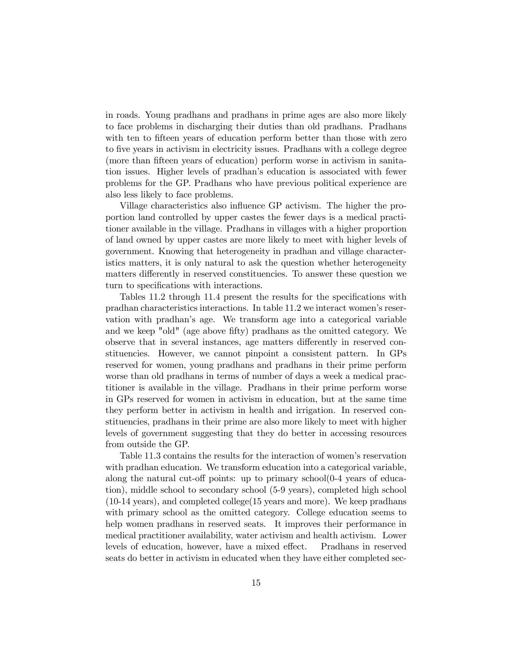in roads. Young pradhans and pradhans in prime ages are also more likely to face problems in discharging their duties than old pradhans. Pradhans with ten to fifteen years of education perform better than those with zero to five years in activism in electricity issues. Pradhans with a college degree (more than fifteen years of education) perform worse in activism in sanitation issues. Higher levels of pradhan's education is associated with fewer problems for the GP. Pradhans who have previous political experience are also less likely to face problems.

Village characteristics also influence GP activism. The higher the proportion land controlled by upper castes the fewer days is a medical practitioner available in the village. Pradhans in villages with a higher proportion of land owned by upper castes are more likely to meet with higher levels of government. Knowing that heterogeneity in pradhan and village characteristics matters, it is only natural to ask the question whether heterogeneity matters differently in reserved constituencies. To answer these question we turn to specifications with interactions.

Tables 11.2 through 11.4 present the results for the specifications with pradhan characteristics interactions. In table 11.2 we interact women's reservation with pradhan's age. We transform age into a categorical variable and we keep "old" (age above fifty) pradhans as the omitted category. We observe that in several instances, age matters differently in reserved constituencies. However, we cannot pinpoint a consistent pattern. In GPs reserved for women, young pradhans and pradhans in their prime perform worse than old pradhans in terms of number of days a week a medical practitioner is available in the village. Pradhans in their prime perform worse in GPs reserved for women in activism in education, but at the same time they perform better in activism in health and irrigation. In reserved constituencies, pradhans in their prime are also more likely to meet with higher levels of government suggesting that they do better in accessing resources from outside the GP.

Table 11.3 contains the results for the interaction of women's reservation with pradhan education. We transform education into a categorical variable, along the natural cut-off points: up to primary school(0-4 years of education), middle school to secondary school (5-9 years), completed high school (10-14 years), and completed college(15 years and more). We keep pradhans with primary school as the omitted category. College education seems to help women pradhans in reserved seats. It improves their performance in medical practitioner availability, water activism and health activism. Lower levels of education, however, have a mixed effect. Pradhans in reserved seats do better in activism in educated when they have either completed sec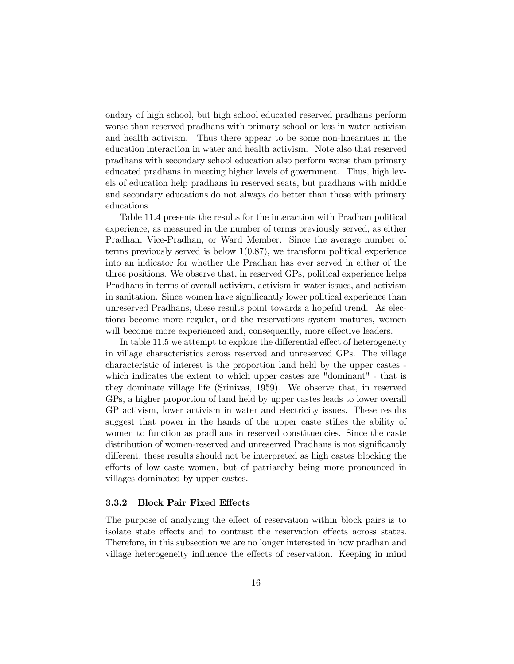ondary of high school, but high school educated reserved pradhans perform worse than reserved pradhans with primary school or less in water activism and health activism. Thus there appear to be some non-linearities in the education interaction in water and health activism. Note also that reserved pradhans with secondary school education also perform worse than primary educated pradhans in meeting higher levels of government. Thus, high levels of education help pradhans in reserved seats, but pradhans with middle and secondary educations do not always do better than those with primary educations.

Table 11.4 presents the results for the interaction with Pradhan political experience, as measured in the number of terms previously served, as either Pradhan, Vice-Pradhan, or Ward Member. Since the average number of terms previously served is below  $1(0.87)$ , we transform political experience into an indicator for whether the Pradhan has ever served in either of the three positions. We observe that, in reserved GPs, political experience helps Pradhans in terms of overall activism, activism in water issues, and activism in sanitation. Since women have significantly lower political experience than unreserved Pradhans, these results point towards a hopeful trend. As elections become more regular, and the reservations system matures, women will become more experienced and, consequently, more effective leaders.

In table 11.5 we attempt to explore the differential effect of heterogeneity in village characteristics across reserved and unreserved GPs. The village characteristic of interest is the proportion land held by the upper castes which indicates the extent to which upper castes are "dominant" - that is they dominate village life (Srinivas, 1959). We observe that, in reserved GPs, a higher proportion of land held by upper castes leads to lower overall GP activism, lower activism in water and electricity issues. These results suggest that power in the hands of the upper caste stifles the ability of women to function as pradhans in reserved constituencies. Since the caste distribution of women-reserved and unreserved Pradhans is not significantly different, these results should not be interpreted as high castes blocking the efforts of low caste women, but of patriarchy being more pronounced in villages dominated by upper castes.

### 3.3.2 Block Pair Fixed Effects

The purpose of analyzing the effect of reservation within block pairs is to isolate state effects and to contrast the reservation effects across states. Therefore, in this subsection we are no longer interested in how pradhan and village heterogeneity influence the effects of reservation. Keeping in mind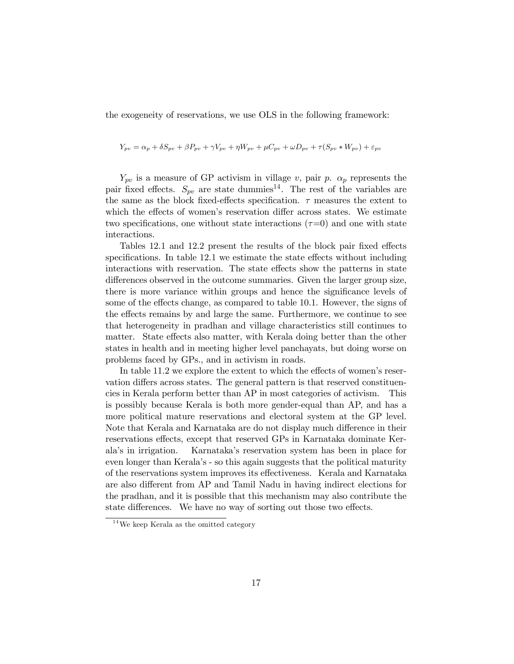the exogeneity of reservations, we use OLS in the following framework:

$$
Y_{pv} = \alpha_p + \delta S_{pv} + \beta P_{pv} + \gamma V_{pv} + \eta W_{pv} + \mu C_{pv} + \omega D_{pv} + \tau (S_{pv} * W_{pv}) + \varepsilon_{pv}
$$

 $Y_{pv}$  is a measure of GP activism in village v, pair p.  $\alpha_p$  represents the pair fixed effects.  $S_{pv}$  are state dummies<sup>14</sup>. The rest of the variables are the same as the block fixed-effects specification.  $\tau$  measures the extent to which the effects of women's reservation differ across states. We estimate two specifications, one without state interactions  $(\tau=0)$  and one with state interactions.

Tables 12.1 and 12.2 present the results of the block pair fixed effects specifications. In table 12.1 we estimate the state effects without including interactions with reservation. The state effects show the patterns in state differences observed in the outcome summaries. Given the larger group size, there is more variance within groups and hence the significance levels of some of the effects change, as compared to table 10.1. However, the signs of the effects remains by and large the same. Furthermore, we continue to see that heterogeneity in pradhan and village characteristics still continues to matter. State effects also matter, with Kerala doing better than the other states in health and in meeting higher level panchayats, but doing worse on problems faced by GPs., and in activism in roads.

In table 11.2 we explore the extent to which the effects of women's reservation differs across states. The general pattern is that reserved constituencies in Kerala perform better than AP in most categories of activism. This is possibly because Kerala is both more gender-equal than AP, and has a more political mature reservations and electoral system at the GP level. Note that Kerala and Karnataka are do not display much difference in their reservations effects, except that reserved GPs in Karnataka dominate Kerala's in irrigation. Karnataka's reservation system has been in place for even longer than Kerala's - so this again suggests that the political maturity of the reservations system improves its effectiveness. Kerala and Karnataka are also different from AP and Tamil Nadu in having indirect elections for the pradhan, and it is possible that this mechanism may also contribute the state differences. We have no way of sorting out those two effects.

 $14$  We keep Kerala as the omitted category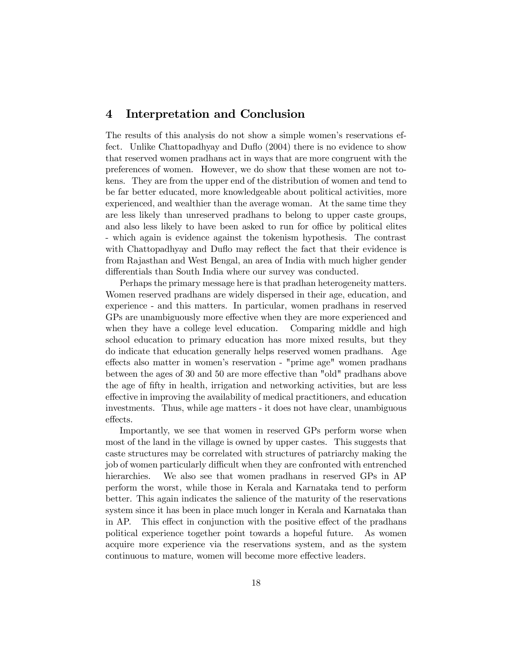## 4 Interpretation and Conclusion

The results of this analysis do not show a simple women's reservations effect. Unlike Chattopadhyay and Duflo (2004) there is no evidence to show that reserved women pradhans act in ways that are more congruent with the preferences of women. However, we do show that these women are not tokens. They are from the upper end of the distribution of women and tend to be far better educated, more knowledgeable about political activities, more experienced, and wealthier than the average woman. At the same time they are less likely than unreserved pradhans to belong to upper caste groups, and also less likely to have been asked to run for office by political elites - which again is evidence against the tokenism hypothesis. The contrast with Chattopadhyay and Duflo may reflect the fact that their evidence is from Rajasthan and West Bengal, an area of India with much higher gender differentials than South India where our survey was conducted.

Perhaps the primary message here is that pradhan heterogeneity matters. Women reserved pradhans are widely dispersed in their age, education, and experience - and this matters. In particular, women pradhans in reserved GPs are unambiguously more effective when they are more experienced and when they have a college level education. Comparing middle and high school education to primary education has more mixed results, but they do indicate that education generally helps reserved women pradhans. Age effects also matter in women's reservation - "prime age" women pradhans between the ages of 30 and 50 are more effective than "old" pradhans above the age of fifty in health, irrigation and networking activities, but are less effective in improving the availability of medical practitioners, and education investments. Thus, while age matters - it does not have clear, unambiguous effects.

Importantly, we see that women in reserved GPs perform worse when most of the land in the village is owned by upper castes. This suggests that caste structures may be correlated with structures of patriarchy making the job of women particularly difficult when they are confronted with entrenched hierarchies. We also see that women pradhans in reserved GPs in AP perform the worst, while those in Kerala and Karnataka tend to perform better. This again indicates the salience of the maturity of the reservations system since it has been in place much longer in Kerala and Karnataka than in AP. This effect in conjunction with the positive effect of the pradhans political experience together point towards a hopeful future. As women acquire more experience via the reservations system, and as the system continuous to mature, women will become more effective leaders.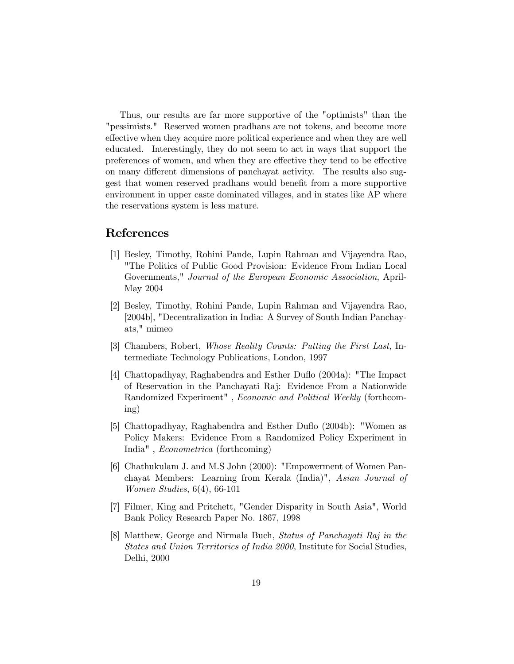Thus, our results are far more supportive of the "optimists" than the "pessimists." Reserved women pradhans are not tokens, and become more effective when they acquire more political experience and when they are well educated. Interestingly, they do not seem to act in ways that support the preferences of women, and when they are effective they tend to be effective on many different dimensions of panchayat activity. The results also suggest that women reserved pradhans would benefit from a more supportive environment in upper caste dominated villages, and in states like AP where the reservations system is less mature.

# References

- [1] Besley, Timothy, Rohini Pande, Lupin Rahman and Vijayendra Rao, "The Politics of Public Good Provision: Evidence From Indian Local Governments," Journal of the European Economic Association, April-May 2004
- [2] Besley, Timothy, Rohini Pande, Lupin Rahman and Vijayendra Rao, [2004b], "Decentralization in India: A Survey of South Indian Panchayats," mimeo
- [3] Chambers, Robert, Whose Reality Counts: Putting the First Last, Intermediate Technology Publications, London, 1997
- [4] Chattopadhyay, Raghabendra and Esther Duflo (2004a): "The Impact of Reservation in the Panchayati Raj: Evidence From a Nationwide Randomized Experiment" , Economic and Political Weekly (forthcoming)
- [5] Chattopadhyay, Raghabendra and Esther Duflo (2004b): "Women as Policy Makers: Evidence From a Randomized Policy Experiment in India" , Econometrica (forthcoming)
- [6] Chathukulam J. and M.S John (2000): "Empowerment of Women Panchayat Members: Learning from Kerala (India)", Asian Journal of Women Studies, 6(4), 66-101
- [7] Filmer, King and Pritchett, "Gender Disparity in South Asia", World Bank Policy Research Paper No. 1867, 1998
- [8] Matthew, George and Nirmala Buch, Status of Panchayati Raj in the States and Union Territories of India 2000, Institute for Social Studies, Delhi, 2000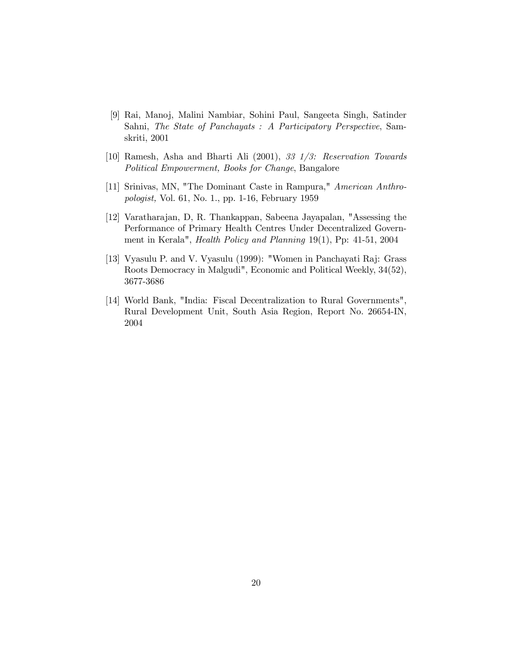- [9] Rai, Manoj, Malini Nambiar, Sohini Paul, Sangeeta Singh, Satinder Sahni, The State of Panchayats : A Participatory Perspective, Samskriti, 2001
- [10] Ramesh, Asha and Bharti Ali (2001), 33 1/3: Reservation Towards Political Empowerment, Books for Change, Bangalore
- [11] Srinivas, MN, "The Dominant Caste in Rampura," American Anthropologist, Vol. 61, No. 1., pp. 1-16, February 1959
- [12] Varatharajan, D, R. Thankappan, Sabeena Jayapalan, "Assessing the Performance of Primary Health Centres Under Decentralized Government in Kerala", Health Policy and Planning 19(1), Pp: 41-51, 2004
- [13] Vyasulu P. and V. Vyasulu (1999): "Women in Panchayati Raj: Grass Roots Democracy in Malgudi", Economic and Political Weekly, 34(52), 3677-3686
- [14] World Bank, "India: Fiscal Decentralization to Rural Governments", Rural Development Unit, South Asia Region, Report No. 26654-IN, 2004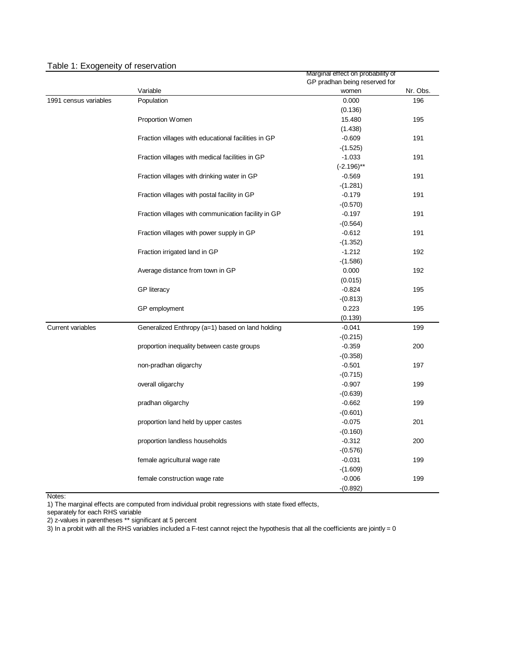# Table 1: Exogeneity of reservation

|                       |                                                     | Marginal effect on probability of |          |
|-----------------------|-----------------------------------------------------|-----------------------------------|----------|
|                       |                                                     | GP pradhan being reserved for     |          |
|                       | Variable                                            | women                             | Nr. Obs. |
| 1991 census variables | Population                                          | 0.000                             | 196      |
|                       |                                                     | (0.136)                           |          |
|                       | Proportion Women                                    | 15.480                            | 195      |
|                       |                                                     | (1.438)                           |          |
|                       | Fraction villages with educational facilities in GP | $-0.609$                          | 191      |
|                       |                                                     | $-(1.525)$                        |          |
|                       | Fraction villages with medical facilities in GP     | $-1.033$                          | 191      |
|                       |                                                     | $(-2.196)$ **                     |          |
|                       | Fraction villages with drinking water in GP         | $-0.569$                          | 191      |
|                       |                                                     | $-(1.281)$                        |          |
|                       | Fraction villages with postal facility in GP        | $-0.179$                          | 191      |
|                       |                                                     | $-(0.570)$                        |          |
|                       | Fraction villages with communication facility in GP | $-0.197$                          | 191      |
|                       |                                                     | $-(0.564)$                        |          |
|                       | Fraction villages with power supply in GP           | $-0.612$                          | 191      |
|                       |                                                     | $-(1.352)$                        |          |
|                       | Fraction irrigated land in GP                       | $-1.212$                          | 192      |
|                       |                                                     | $-(1.586)$                        |          |
|                       | Average distance from town in GP                    | 0.000                             | 192      |
|                       |                                                     | (0.015)                           |          |
|                       | <b>GP</b> literacy                                  | $-0.824$                          | 195      |
|                       |                                                     | $-(0.813)$                        |          |
|                       | GP employment                                       | 0.223                             | 195      |
|                       |                                                     | (0.139)                           |          |
| Current variables     | Generalized Enthropy (a=1) based on land holding    | $-0.041$                          | 199      |
|                       |                                                     | $-(0.215)$                        |          |
|                       | proportion inequality between caste groups          | $-0.359$                          | 200      |
|                       |                                                     | $-(0.358)$                        |          |
|                       | non-pradhan oligarchy                               | $-0.501$                          | 197      |
|                       |                                                     | $-(0.715)$                        |          |
|                       | overall oligarchy                                   | $-0.907$                          | 199      |
|                       |                                                     | $-(0.639)$                        |          |
|                       | pradhan oligarchy                                   | $-0.662$                          | 199      |
|                       |                                                     | $-(0.601)$                        |          |
|                       | proportion land held by upper castes                | $-0.075$                          | 201      |
|                       |                                                     | $-(0.160)$                        |          |
|                       | proportion landless households                      | $-0.312$                          | 200      |
|                       |                                                     | $-(0.576)$                        |          |
|                       | female agricultural wage rate                       | $-0.031$                          | 199      |
|                       |                                                     | $-(1.609)$                        |          |
|                       | female construction wage rate                       | $-0.006$                          | 199      |
|                       |                                                     | $-(0.892)$                        |          |
|                       |                                                     |                                   |          |

Notes:

1) The marginal effects are computed from individual probit regressions with state fixed effects,

separately for each RHS variable

2) z-values in parentheses \*\* significant at 5 percent

3) In a probit with all the RHS variables included a F-test cannot reject the hypothesis that all the coefficients are jointly = 0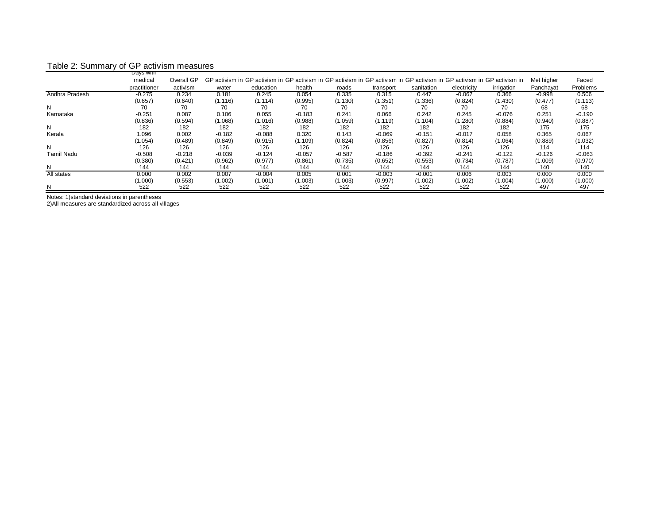# Table 2: Summary of GP activism measures

|                   | $-24,0$ with |            |          |                                                                                                                         |          |          |           |            |             |            |            |          |
|-------------------|--------------|------------|----------|-------------------------------------------------------------------------------------------------------------------------|----------|----------|-----------|------------|-------------|------------|------------|----------|
|                   | medical      | Overall GP |          | GP activism in GP activism in GP activism in GP activism in GP activism in GP activism in GP activism in GP activism in |          |          |           |            |             |            | Met higher | Faced    |
|                   | practitioner | activism   | water    | education                                                                                                               | health   | roads    | transport | sanitation | electricity | irrigation | Panchayat  | Problems |
| Andhra Pradesh    | $-0.275$     | 0.234      | 0.181    | 0.245                                                                                                                   | 0.054    | 0.335    | 0.315     | 0.447      | $-0.067$    | 0.366      | $-0.998$   | 0.506    |
|                   | (0.657)      | (0.640)    | (1.116)  | (1.114)                                                                                                                 | (0.995)  | (1.130)  | (1.351)   | (1.336)    | (0.824)     | (1.430)    | (0.477)    | (1.113)  |
| N                 | 70           | 70         | 70       | 70                                                                                                                      | 70       | 70       | 70        | 70         | 70          | 70         | 68         | 68       |
| Karnataka         | $-0.251$     | 0.087      | 0.106    | 0.055                                                                                                                   | $-0.183$ | 0.241    | 0.066     | 0.242      | 0.245       | $-0.076$   | 0.251      | $-0.190$ |
|                   | (0.836)      | (0.594)    | (1.068)  | (1.016)                                                                                                                 | (0.988)  | (1.059)  | (1.119)   | (1.104)    | (1.280)     | (0.884)    | (0.940)    | (0.887)  |
| N                 | 182          | 182        | 182      | 182                                                                                                                     | 182      | 182      | 182       | 182        | 182         | 182        | 175        | 175      |
| Kerala            | 1.096        | 0.002      | $-0.182$ | $-0.088$                                                                                                                | 0.320    | 0.143    | $-0.069$  | $-0.151$   | $-0.017$    | 0.058      | 0.365      | 0.067    |
|                   | (1.054)      | (0.489)    | (0.849)  | (0.915)                                                                                                                 | (1.109)  | (0.824)  | (0.856)   | (0.827)    | (0.814)     | (1.064)    | (0.889)    | (1.032)  |
| N                 | 126          | 126        | 126      | 126                                                                                                                     | 126      | 126      | 126       | 126        | 126         | 126        | 114        | 114      |
| <b>Tamil Nadu</b> | $-0.508$     | $-0.218$   | $-0.039$ | $-0.124$                                                                                                                | $-0.057$ | $-0.587$ | $-0.186$  | $-0.392$   | $-0.241$    | $-0.122$   | $-0.126$   | $-0.063$ |
|                   | (0.380)      | (0.421)    | (0.962)  | (0.977)                                                                                                                 | (0.861)  | (0.735)  | (0.652)   | (0.553)    | (0.734)     | (0.787)    | (1.009)    | (0.970)  |
|                   | 144          | 144        | 144      | 144                                                                                                                     | 144      | 144      | 144       | 144        | 144         | 144        | 140        | 140      |
| All states        | 0.000        | 0.002      | 0.007    | $-0.004$                                                                                                                | 0.005    | 0.001    | $-0.003$  | $-0.001$   | 0.006       | 0.003      | 0.000      | 0.000    |
|                   | (1.000)      | (0.553)    | (1.002)  | (1.001)                                                                                                                 | (1.003)  | (1.003)  | (0.997)   | (1.002)    | (1.002)     | (1.004)    | (1.000)    | (1.000)  |
|                   | 522          | 522        | 522      | 522                                                                                                                     | 522      | 522      | 522       | 522        | 522         | 522        | 497        | 497      |

Notes: 1)standard deviations in parentheses 2)All measures are standardized across all villages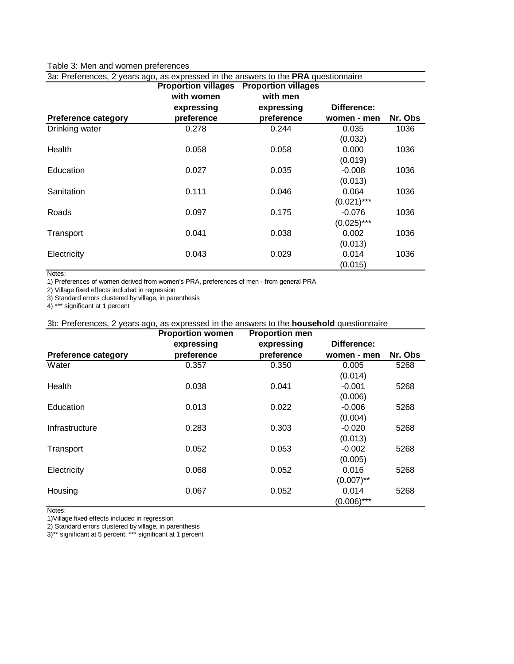### Table 3: Men and women preferences

| 3a: Preferences, 2 years ago, as expressed in the answers to the PRA questionnaire |                            |                            |               |         |
|------------------------------------------------------------------------------------|----------------------------|----------------------------|---------------|---------|
|                                                                                    | <b>Proportion villages</b> | <b>Proportion villages</b> |               |         |
|                                                                                    | with women                 | with men                   |               |         |
|                                                                                    | expressing                 | expressing                 | Difference:   |         |
| <b>Preference category</b>                                                         | preference                 | preference                 | women - men   | Nr. Obs |
| Drinking water                                                                     | 0.278                      | 0.244                      | 0.035         | 1036    |
|                                                                                    |                            |                            | (0.032)       |         |
| Health                                                                             | 0.058                      | 0.058                      | 0.000         | 1036    |
|                                                                                    |                            |                            | (0.019)       |         |
| Education                                                                          | 0.027                      | 0.035                      | $-0.008$      | 1036    |
|                                                                                    |                            |                            | (0.013)       |         |
| Sanitation                                                                         | 0.111                      | 0.046                      | 0.064         | 1036    |
|                                                                                    |                            |                            | $(0.021)$ *** |         |
| Roads                                                                              | 0.097                      | 0.175                      | $-0.076$      | 1036    |
|                                                                                    |                            |                            | $(0.025)$ *** |         |
| Transport                                                                          | 0.041                      | 0.038                      | 0.002         | 1036    |
|                                                                                    |                            |                            | (0.013)       |         |
| Electricity                                                                        | 0.043                      | 0.029                      | 0.014         | 1036    |
|                                                                                    |                            |                            | (0.015)       |         |

Notes:

1) Preferences of women derived from women's PRA, preferences of men - from general PRA

2) Village fixed effects included in regression

3) Standard errors clustered by village, in parenthesis

4) \*\*\* significant at 1 percent

### 3b: Preferences, 2 years ago, as expressed in the answers to the **household** questionnaire

|                            | <b>Proportion women</b><br>expressing | <b>Proportion men</b><br>expressing | Difference:   |         |
|----------------------------|---------------------------------------|-------------------------------------|---------------|---------|
| <b>Preference category</b> | preference                            | preference                          | women - men   | Nr. Obs |
| Water                      | 0.357                                 | 0.350                               | 0.005         | 5268    |
|                            |                                       |                                     | (0.014)       |         |
| Health                     | 0.038                                 | 0.041                               | $-0.001$      | 5268    |
|                            |                                       |                                     | (0.006)       |         |
| Education                  | 0.013                                 | 0.022                               | $-0.006$      | 5268    |
|                            |                                       |                                     | (0.004)       |         |
| Infrastructure             | 0.283                                 | 0.303                               | $-0.020$      | 5268    |
|                            |                                       |                                     | (0.013)       |         |
| Transport                  | 0.052                                 | 0.053                               | $-0.002$      | 5268    |
|                            |                                       |                                     | (0.005)       |         |
| Electricity                | 0.068                                 | 0.052                               | 0.016         | 5268    |
|                            |                                       |                                     | $(0.007)$ **  |         |
| Housing                    | 0.067                                 | 0.052                               | 0.014         | 5268    |
|                            |                                       |                                     | $(0.006)$ *** |         |

Notes:

1)Village fixed effects included in regression

2) Standard errors clustered by village, in parenthesis

3)\*\* significant at 5 percent; \*\*\* significant at 1 percent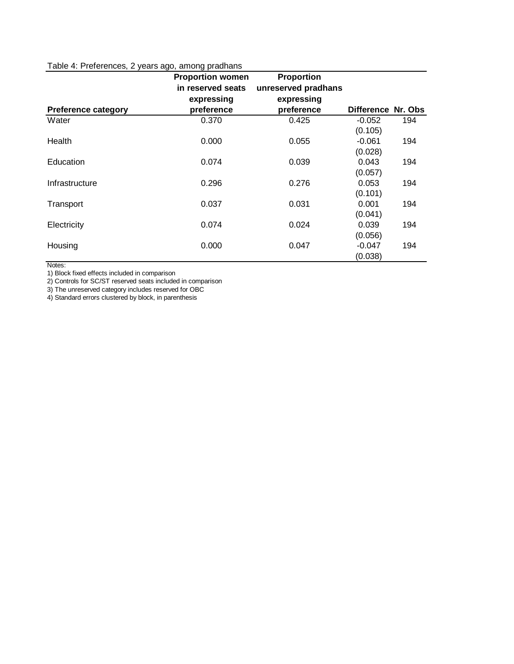# Table 4: Preferences, 2 years ago, among pradhans

|                            | <b>Proportion women</b><br>in reserved seats | <b>Proportion</b><br>unreserved pradhans |                    |     |
|----------------------------|----------------------------------------------|------------------------------------------|--------------------|-----|
|                            | expressing                                   | expressing                               |                    |     |
| <b>Preference category</b> | preference                                   | preference                               | Difference Nr. Obs |     |
| Water                      | 0.370                                        | 0.425                                    | $-0.052$           | 194 |
|                            |                                              |                                          | (0.105)            |     |
| Health                     | 0.000                                        | 0.055                                    | $-0.061$           | 194 |
|                            |                                              |                                          | (0.028)            |     |
| Education                  | 0.074                                        | 0.039                                    | 0.043              | 194 |
|                            |                                              |                                          | (0.057)            |     |
| Infrastructure             | 0.296                                        | 0.276                                    | 0.053              | 194 |
|                            |                                              |                                          | (0.101)            |     |
| Transport                  | 0.037                                        | 0.031                                    | 0.001              | 194 |
|                            |                                              |                                          | (0.041)            |     |
| Electricity                | 0.074                                        | 0.024                                    | 0.039              | 194 |
|                            |                                              |                                          | (0.056)            |     |
| Housing                    | 0.000                                        | 0.047                                    | $-0.047$           | 194 |
|                            |                                              |                                          | (0.038)            |     |

Notes:

1) Block fixed effects included in comparison

2) Controls for SC/ST reserved seats included in comparison

3) The unreserved category includes reserved for OBC

4) Standard errors clustered by block, in parenthesis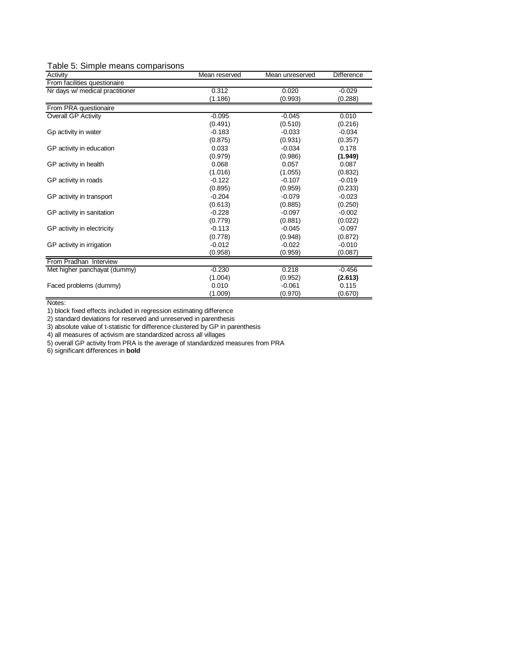### Table 5: Simple means comparisons

| Activity                        | Mean reserved | Mean unreserved | <b>Difference</b> |
|---------------------------------|---------------|-----------------|-------------------|
| From facilities questionaire    |               |                 |                   |
| Nr days w/ medical practitioner | 0.312         | 0.020           | $-0.029$          |
|                                 | (1.186)       | (0.993)         | (0.288)           |
| From PRA questionaire           |               |                 |                   |
| <b>Overall GP Activity</b>      | $-0.095$      | $-0.045$        | 0.010             |
|                                 | (0.491)       | (0.510)         | (0.216)           |
| Gp activity in water            | $-0.183$      | $-0.033$        | $-0.034$          |
|                                 | (0.875)       | (0.931)         | (0.357)           |
| GP activity in education        | 0.033         | $-0.034$        | 0.178             |
|                                 | (0.979)       | (0.986)         | (1.949)           |
| GP activity in health           | 0.068         | 0.057           | 0.087             |
|                                 | (1.016)       | (1.055)         | (0.832)           |
| GP activity in roads            | $-0.122$      | $-0.107$        | $-0.019$          |
|                                 | (0.895)       | (0.959)         | (0.233)           |
| GP activity in transport        | $-0.204$      | $-0.079$        | $-0.023$          |
|                                 | (0.613)       | (0.885)         | (0.250)           |
| GP activity in sanitation       | $-0.228$      | $-0.097$        | $-0.002$          |
|                                 | (0.779)       | (0.881)         | (0.022)           |
| GP activity in electricity      | $-0.113$      | $-0.045$        | $-0.097$          |
|                                 | (0.778)       | (0.948)         | (0.872)           |
| GP activity in irrigation       | $-0.012$      | $-0.022$        | $-0.010$          |
|                                 | (0.958)       | (0.959)         | (0.087)           |
| From Pradhan Interview          |               |                 |                   |
| Met higher panchayat (dummy)    | $-0.230$      | 0.218           | $-0.456$          |
|                                 | (1.004)       | (0.952)         | (2.613)           |
| Faced problems (dummy)          | 0.010         | $-0.061$        | 0.115             |
|                                 | (1.009)       | (0.970)         | (0.670)           |

Notes:

1) block fixed effects included in regression estimating difference

2) standard deviations for reserved and unreserved in parenthesis

3) absolute value of t-statistic for difference clustered by GP in parenthesis

4) all measures of activism are standardized across all villages

5) overall GP activity from PRA is the average of standardized measures from PRA

6) significant differences in **bold**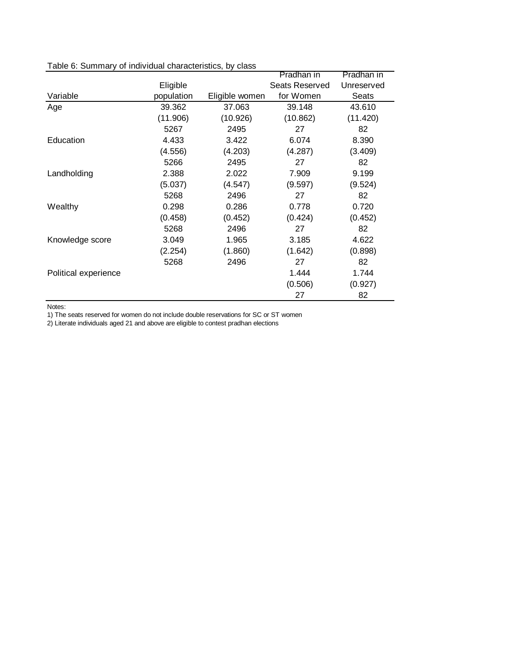|                      |            |                | Pradhan in            | Pradhan in |
|----------------------|------------|----------------|-----------------------|------------|
|                      | Eligible   |                | <b>Seats Reserved</b> | Unreserved |
| Variable             | population | Eligible women | for Women             | Seats      |
| Age                  | 39.362     | 37.063         | 39.148                | 43.610     |
|                      | (11.906)   | (10.926)       | (10.862)              | (11.420)   |
|                      | 5267       | 2495           | 27                    | 82         |
| Education            | 4.433      | 3.422          | 6.074                 | 8.390      |
|                      | (4.556)    | (4.203)        | (4.287)               | (3.409)    |
|                      | 5266       | 2495           | 27                    | 82         |
| Landholding          | 2.388      | 2.022          | 7.909                 | 9.199      |
|                      | (5.037)    | (4.547)        | (9.597)               | (9.524)    |
|                      | 5268       | 2496           | 27                    | 82         |
| Wealthy              | 0.298      | 0.286          | 0.778                 | 0.720      |
|                      | (0.458)    | (0.452)        | (0.424)               | (0.452)    |
|                      | 5268       | 2496           | 27                    | 82         |
| Knowledge score      | 3.049      | 1.965          | 3.185                 | 4.622      |
|                      | (2.254)    | (1.860)        | (1.642)               | (0.898)    |
|                      | 5268       | 2496           | 27                    | 82         |
| Political experience |            |                | 1.444                 | 1.744      |
|                      |            |                | (0.506)               | (0.927)    |
|                      |            |                | 27                    | 82         |

# Table 6: Summary of individual characteristics, by class

Notes:

1) The seats reserved for women do not include double reservations for SC or ST women

2) Literate individuals aged 21 and above are eligible to contest pradhan elections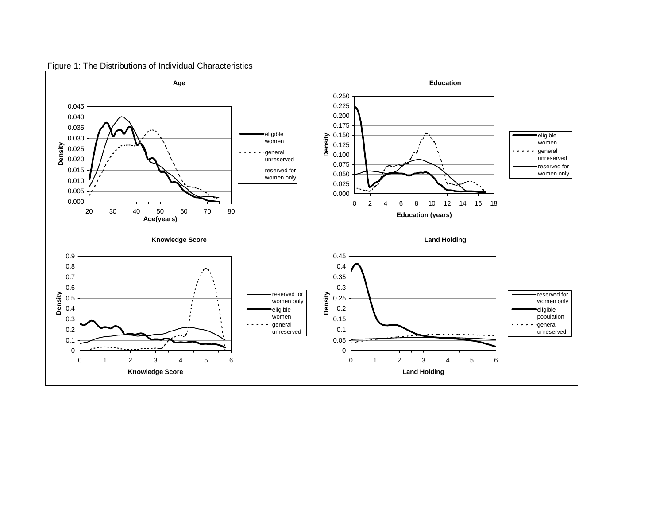Figure 1: The Distributions of Individual Characteristics

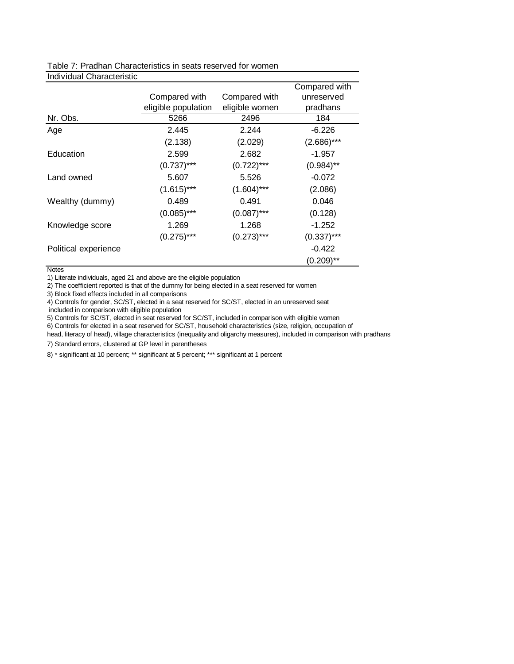#### Table 7: Pradhan Characteristics in seats reserved for women Individual Characteristic

| <b>INGLYTOUGH OTTAI ACTEMBRIC</b> |                     |                |               |
|-----------------------------------|---------------------|----------------|---------------|
|                                   |                     |                | Compared with |
|                                   | Compared with       | Compared with  | unreserved    |
|                                   | eligible population | eligible women | pradhans      |
| Nr. Obs.                          | 5266                | 2496           | 184           |
| Age                               | 2.445               | 2.244          | $-6.226$      |
|                                   | (2.138)             | (2.029)        | $(2.686)$ *** |
| Education                         | 2.599               | 2.682          | $-1.957$      |
|                                   | $(0.737)$ ***       | $(0.722)***$   | $(0.984)$ **  |
| Land owned                        | 5.607               | 5.526          | $-0.072$      |
|                                   | $(1.615)***$        | $(1.604)$ ***  | (2.086)       |
| Wealthy (dummy)                   | 0.489               | 0.491          | 0.046         |
|                                   | $(0.085)$ ***       | $(0.087)$ ***  | (0.128)       |
| Knowledge score                   | 1.269               | 1.268          | -1.252        |
|                                   | $(0.275)$ ***       | $(0.273)***$   | $(0.337)$ *** |
| Political experience              |                     |                | $-0.422$      |
|                                   |                     |                | $(0.209)$ **  |

**Notes** 

1) Literate individuals, aged 21 and above are the eligible population

2) The coefficient reported is that of the dummy for being elected in a seat reserved for women

3) Block fixed effects included in all comparisons

4) Controls for gender, SC/ST, elected in a seat reserved for SC/ST, elected in an unreserved seat included in comparison with eligible population

5) Controls for SC/ST, elected in seat reserved for SC/ST, included in comparison with eligible women

6) Controls for elected in a seat reserved for SC/ST, household characteristics (size, religion, occupation of

head, literacy of head), village characteristics (inequality and oligarchy measures), included in comparison with pradhans

7) Standard errors, clustered at GP level in parentheses

8) \* significant at 10 percent; \*\* significant at 5 percent; \*\*\* significant at 1 percent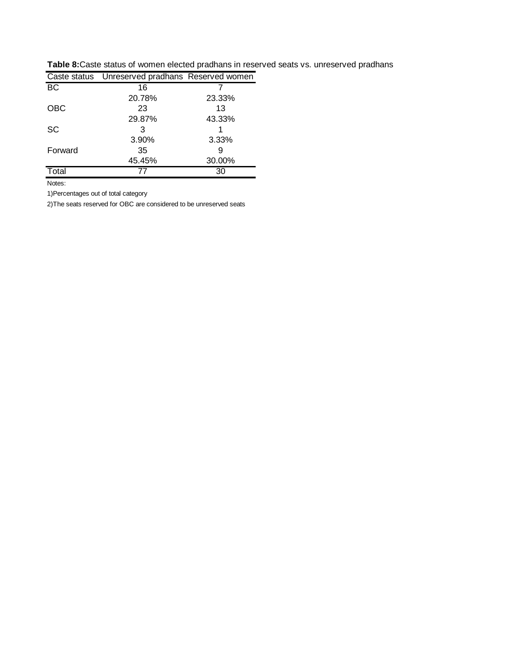|                    | Caste status Unreserved pradhans Reserved women |        |
|--------------------|-------------------------------------------------|--------|
| BC                 | 16                                              |        |
|                    | 20.78%                                          | 23.33% |
| <b>OBC</b>         | 23                                              | 13     |
|                    | 29.87%                                          | 43.33% |
| <b>SC</b>          | З                                               |        |
|                    | 3.90%                                           | 3.33%  |
| Forward            | 35                                              | 9      |
|                    | 45.45%                                          | 30.00% |
| $\overline{ot}$ al |                                                 | 30     |

**Table 8:**Caste status of women elected pradhans in reserved seats vs. unreserved pradhans

Notes:

1)Percentages out of total category

2)The seats reserved for OBC are considered to be unreserved seats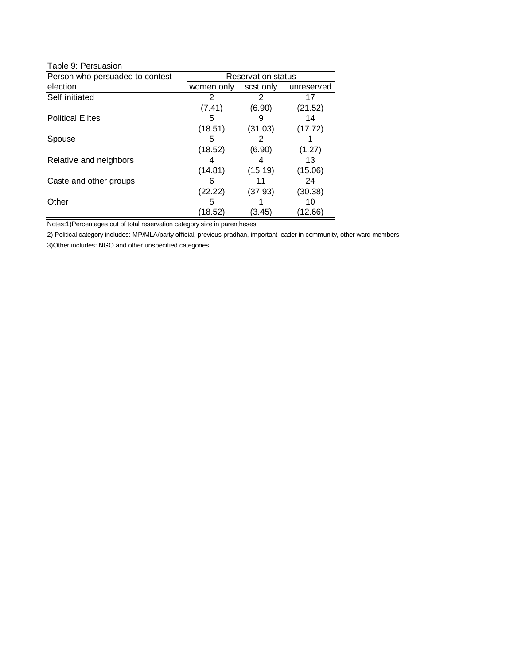| Person who persuaded to contest | <b>Reservation status</b> |           |            |
|---------------------------------|---------------------------|-----------|------------|
| election                        | women only                | scst only | unreserved |
| Self initiated                  | 2                         | 2         | 17         |
|                                 | (7.41)                    | (6.90)    | (21.52)    |
| <b>Political Elites</b>         | 5                         | 9         | 14         |
|                                 | (18.51)                   | (31.03)   | (17.72)    |
| Spouse                          | 5                         | 2         |            |
|                                 | (18.52)                   | (6.90)    | (1.27)     |
| Relative and neighbors          | 4                         | 4         | 13         |
|                                 | (14.81)                   | (15.19)   | (15.06)    |
| Caste and other groups          | 6                         | 11        | 24         |
|                                 | (22.22)                   | (37.93)   | (30.38)    |
| Other                           | 5                         |           | 10         |
|                                 | (18.52)                   | (3.45)    | (12.66)    |

Notes:1)Percentages out of total reservation category size in parentheses

2) Political category includes: MP/MLA/party official, previous pradhan, important leader in community, other ward members

3)Other includes: NGO and other unspecified categories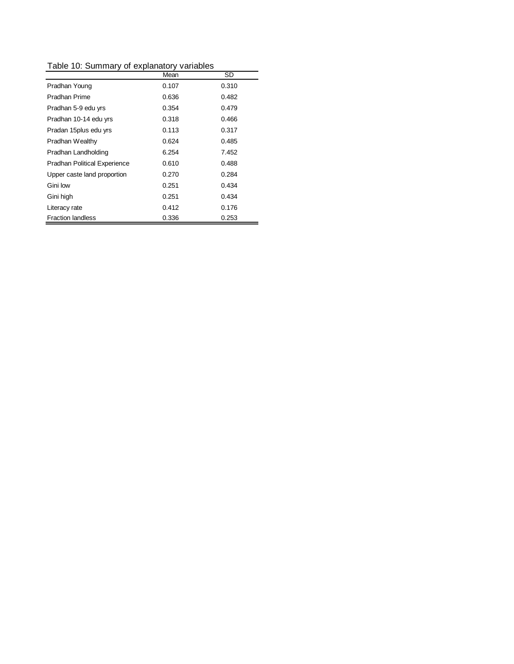Table 10: Summary of explanatory variables

|                                     | Mean  | <b>SD</b> |
|-------------------------------------|-------|-----------|
| Pradhan Young                       | 0.107 | 0.310     |
| Pradhan Prime                       | 0.636 | 0.482     |
| Pradhan 5-9 edu yrs                 | 0.354 | 0.479     |
| Pradhan 10-14 edu yrs               | 0.318 | 0.466     |
| Pradan 15 plus edu yrs              | 0.113 | 0.317     |
| Pradhan Wealthy                     | 0.624 | 0.485     |
| Pradhan Landholding                 | 6.254 | 7.452     |
| <b>Pradhan Political Experience</b> | 0.610 | 0.488     |
| Upper caste land proportion         | 0.270 | 0.284     |
| Gini low                            | 0.251 | 0.434     |
| Gini high                           | 0.251 | 0.434     |
| Literacy rate                       | 0.412 | 0.176     |
| <b>Fraction landless</b>            | 0.336 | 0.253     |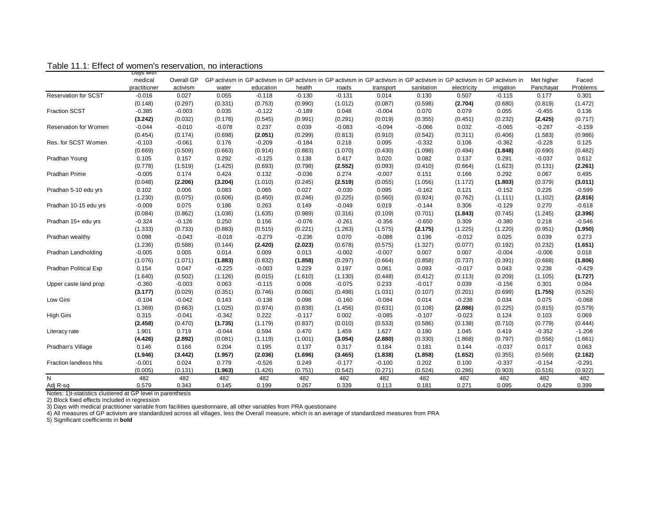|                             | Days with    |            |          |           |          |          |           |                                                                                                                         |             |            |            |          |
|-----------------------------|--------------|------------|----------|-----------|----------|----------|-----------|-------------------------------------------------------------------------------------------------------------------------|-------------|------------|------------|----------|
|                             | medical      | Overall GP |          |           |          |          |           | GP activism in GP activism in GP activism in GP activism in GP activism in GP activism in GP activism in GP activism in |             |            | Met higher | Faced    |
|                             | practitioner | activism   | water    | education | health   | roads    | transport | sanitation                                                                                                              | electricity | irrigation | Panchayat  | Problems |
| <b>Reservation for SCST</b> | $-0.016$     | 0.027      | 0.055    | $-0.118$  | $-0.130$ | $-0.131$ | 0.014     | 0.130                                                                                                                   | 0.507       | $-0.115$   | 0.177      | 0.301    |
|                             | (0.148)      | (0.297)    | (0.331)  | (0.753)   | (0.990)  | (1.012)  | (0.087)   | (0.598)                                                                                                                 | (2.704)     | (0.680)    | (0.819)    | (1.472)  |
| Fraction SCST               | $-0.385$     | $-0.003$   | 0.035    | $-0.122$  | $-0.189$ | 0.048    | $-0.004$  | 0.070                                                                                                                   | 0.079       | 0.055      | $-0.455$   | 0.136    |
|                             | (3.242)      | (0.032)    | (0.178)  | (0.545)   | (0.991)  | (0.291)  | (0.019)   | (0.355)                                                                                                                 | (0.451)     | (0.232)    | (2.425)    | (0.717)  |
| Reservation for Women       | $-0.044$     | $-0.010$   | $-0.078$ | 0.237     | 0.039    | $-0.083$ | $-0.094$  | $-0.066$                                                                                                                | 0.032       | $-0.065$   | $-0.287$   | $-0.159$ |
|                             | (0.454)      | (0.174)    | (0.698)  | (2.051)   | (0.299)  | (0.813)  | (0.910)   | (0.542)                                                                                                                 | (0.311)     | (0.406)    | (1.583)    | (0.986)  |
| Res. for SCST Women         | $-0.103$     | $-0.061$   | 0.176    | $-0.209$  | $-0.184$ | 0.218    | 0.095     | $-0.332$                                                                                                                | 0.106       | $-0.362$   | $-0.228$   | 0.125    |
|                             | (0.669)      | (0.509)    | (0.663)  | (0.914)   | (0.883)  | (1.070)  | (0.430)   | (1.098)                                                                                                                 | (0.494)     | (1.848)    | (0.690)    | (0.482)  |
| Pradhan Young               | 0.105        | 0.157      | 0.292    | $-0.125$  | 0.138    | 0.417    | 0.020     | 0.082                                                                                                                   | 0.137       | 0.291      | $-0.037$   | 0.612    |
|                             | (0.778)      | (1.519)    | (1.425)  | (0.693)   | (0.798)  | (2.552)  | (0.093)   | (0.410)                                                                                                                 | (0.664)     | (1.623)    | (0.131)    | (2.261)  |
| Pradhan Prime               | $-0.005$     | 0.174      | 0.424    | 0.132     | $-0.036$ | 0.274    | $-0.007$  | 0.151                                                                                                                   | 0.166       | 0.292      | 0.067      | 0.495    |
|                             | (0.048)      | (2.206)    | (3.204)  | (1.010)   | (0.245)  | (2.519)  | (0.055)   | (1.056)                                                                                                                 | (1.172)     | (1.803)    | (0.379)    | (3.011)  |
| Pradhan 5-10 edu yrs        | 0.102        | 0.006      | 0.083    | 0.065     | 0.027    | $-0.030$ | 0.095     | $-0.162$                                                                                                                | 0.121       | $-0.152$   | 0.226      | $-0.599$ |
|                             | (1.230)      | (0.075)    | (0.606)  | (0.450)   | (0.246)  | (0.225)  | (0.560)   | (0.924)                                                                                                                 | (0.762)     | (1.111)    | (1.102)    | (2.816)  |
| Pradhan 10-15 edu yrs       | $-0.009$     | 0.075      | 0.186    | 0.263     | 0.149    | $-0.049$ | 0.019     | $-0.144$                                                                                                                | 0.306       | $-0.129$   | 0.270      | $-0.618$ |
|                             | (0.084)      | (0.862)    | (1.036)  | (1.635)   | (0.989)  | (0.316)  | (0.109)   | (0.701)                                                                                                                 | (1.843)     | (0.745)    | (1.245)    | (2.396)  |
| Pradhan 15+ edu yrs         | $-0.324$     | $-0.126$   | 0.250    | 0.156     | $-0.076$ | $-0.261$ | $-0.356$  | $-0.650$                                                                                                                | 0.309       | $-0.380$   | 0.218      | $-0.546$ |
|                             | (1.333)      | (0.733)    | (0.883)  | (0.515)   | (0.221)  | (1.263)  | (1.575)   | (2.175)                                                                                                                 | (1.225)     | (1.220)    | (0.951)    | (1.950)  |
| Pradhan wealthy             | 0.098        | $-0.043$   | $-0.018$ | $-0.279$  | $-0.236$ | 0.070    | $-0.088$  | 0.196                                                                                                                   | $-0.012$    | 0.025      | 0.039      | 0.273    |
|                             | (1.236)      | (0.588)    | (0.144)  | (2.420)   | (2.023)  | (0.678)  | (0.575)   | (1.327)                                                                                                                 | (0.077)     | (0.192)    | (0.232)    | (1.651)  |
| Pradhan Landholding         | $-0.005$     | 0.005      | 0.014    | 0.009     | 0.013    | $-0.002$ | $-0.007$  | 0.007                                                                                                                   | 0.007       | $-0.004$   | $-0.006$   | 0.018    |
|                             | (1.076)      | (1.071)    | (1.883)  | (0.832)   | (1.858)  | (0.297)  | (0.664)   | (0.858)                                                                                                                 | (0.737)     | (0.391)    | (0.668)    | (1.806)  |
| Pradhan Political Exp       | 0.154        | 0.047      | $-0.225$ | $-0.003$  | 0.229    | 0.197    | 0.061     | 0.093                                                                                                                   | $-0.017$    | 0.043      | 0.238      | $-0.429$ |
|                             | (1.640)      | (0.502)    | (1.126)  | (0.015)   | (1.610)  | (1.130)  | (0.448)   | (0.412)                                                                                                                 | (0.113)     | (0.209)    | (1.105)    | (1.727)  |
| Upper caste land prop       | $-0.360$     | $-0.003$   | 0.063    | $-0.115$  | 0.008    | $-0.075$ | 0.233     | $-0.017$                                                                                                                | 0.039       | $-0.156$   | 0.301      | 0.084    |
|                             | (3.177)      | (0.029)    | (0.351)  | (0.746)   | (0.060)  | (0.498)  | (1.031)   | (0.107)                                                                                                                 | (0.201)     | (0.699)    | (1.755)    | (0.526)  |
| Low Gini                    | $-0.104$     | $-0.042$   | 0.143    | $-0.138$  | 0.098    | $-0.160$ | $-0.084$  | 0.014                                                                                                                   | $-0.238$    | 0.034      | 0.075      | $-0.068$ |
|                             | (1.369)      | (0.663)    | (1.025)  | (0.974)   | (0.838)  | (1.456)  | (0.631)   | (0.108)                                                                                                                 | (2.086)     | (0.225)    | (0.815)    | (0.579)  |
| High Gini                   | 0.315        | $-0.041$   | $-0.342$ | 0.222     | $-0.117$ | 0.002    | $-0.085$  | $-0.107$                                                                                                                | $-0.023$    | 0.124      | 0.103      | 0.069    |
|                             | (2.458)      | (0.470)    | (1.735)  | (1.179)   | (0.837)  | (0.010)  | (0.533)   | (0.586)                                                                                                                 | (0.138)     | (0.710)    | (0.779)    | (0.444)  |
| Literacy rate               | 1.901        | 0.719      | $-0.044$ | 0.594     | 0.470    | 1.459    | 1.627     | 0.180                                                                                                                   | 1.045       | 0.419      | $-0.352$   | $-1.208$ |
|                             | (4.426)      | (2.892)    | (0.081)  | (1.119)   | (1.001)  | (3.054)  | (2.880)   | (0.330)                                                                                                                 | (1.868)     | (0.797)    | (0.556)    | (1.661)  |
| Pradhan's Village           | 0.146        | 0.166      | 0.204    | 0.195     | 0.137    | 0.317    | 0.184     | 0.181                                                                                                                   | 0.144       | $-0.037$   | 0.017      | 0.063    |
|                             | (1.946)      | (3.442)    | (1.957)  | (2.036)   | (1.696)  | (3.465)  | (1.838)   | (1.858)                                                                                                                 | (1.652)     | (0.355)    | (0.569)    | (2.162)  |
| Fraction landless hhs       | $-0.001$     | 0.024      | 0.779    | $-0.526$  | 0.249    | $-0.177$ | $-0.100$  | 0.202                                                                                                                   | 0.100       | $-0.337$   | $-0.154$   | $-0.291$ |
|                             | (0.005)      | (0.131)    | (1.963)  | (1.426)   | (0.751)  | (0.542)  | (0.271)   | (0.524)                                                                                                                 | (0.286)     | (0.903)    | (0.516)    | (0.922)  |
| N                           | 482          | 482        | 482      | 482       | 482      | 482      | 482       | 482                                                                                                                     | 482         | 482        | 482        | 482      |
| Adj R-sq                    | 0.579        | 0.343      | 0.145    | 0.199     | 0.267    | 0.339    | 0.113     | 0.181                                                                                                                   | 0.271       | 0.095      | 0.429      | 0.399    |

### Table 11.1: Effect of women's reservation, no interactions

Notes: 1)t-statistics clustered at GP level in parenthesis

2) Block fixed effects included in regression<br>3) Days with medical practitioner variable from facilities questionnaire, all other variables from PRA questionaire<br>4) All measures of GP activism are standardized across all v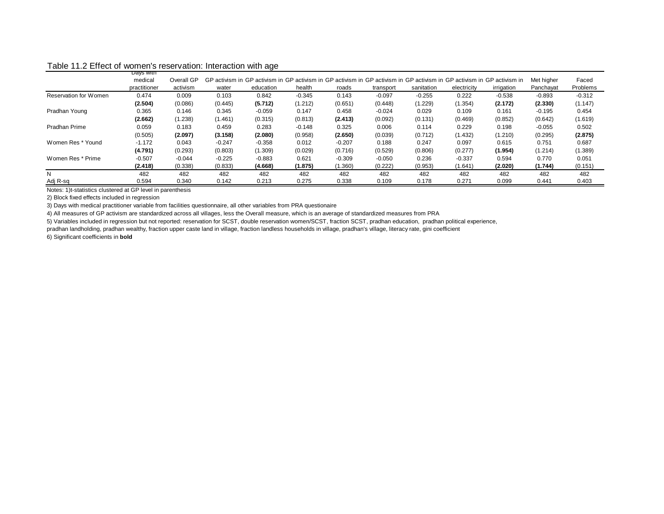|                       | Days With    |            |          |           |          |          |                                                                                                                         |            |             |            |            |          |
|-----------------------|--------------|------------|----------|-----------|----------|----------|-------------------------------------------------------------------------------------------------------------------------|------------|-------------|------------|------------|----------|
|                       | medical      | Overall GP |          |           |          |          | GP activism in GP activism in GP activism in GP activism in GP activism in GP activism in GP activism in GP activism in |            |             |            | Met higher | Faced    |
|                       | practitioner | activism   | water    | education | health   | roads    | transport                                                                                                               | sanitation | electricity | irrigation | Panchayat  | Problems |
| Reservation for Women | 0.474        | 0.009      | 0.103    | 0.842     | $-0.345$ | 0.143    | $-0.097$                                                                                                                | $-0.255$   | 0.222       | $-0.538$   | $-0.893$   | $-0.312$ |
|                       | (2.504)      | (0.086)    | (0.445)  | (5.712)   | (1.212)  | (0.651)  | (0.448)                                                                                                                 | (1.229)    | (1.354)     | (2.172)    | (2.330)    | (1.147)  |
| Pradhan Young         | 0.365        | 0.146      | 0.345    | $-0.059$  | 0.147    | 0.458    | $-0.024$                                                                                                                | 0.029      | 0.109       | 0.161      | $-0.195$   | 0.454    |
|                       | (2.662)      | (1.238)    | (1.461)  | (0.315)   | (0.813)  | (2.413)  | (0.092)                                                                                                                 | (0.131)    | (0.469)     | (0.852)    | (0.642)    | (1.619)  |
| Pradhan Prime         | 0.059        | 0.183      | 0.459    | 0.283     | $-0.148$ | 0.325    | 0.006                                                                                                                   | 0.114      | 0.229       | 0.198      | $-0.055$   | 0.502    |
|                       | (0.505)      | (2.097)    | (3.158)  | (2.080)   | (0.958)  | (2.650)  | (0.039)                                                                                                                 | (0.712)    | (1.432)     | (1.210)    | (0.295)    | (2.875)  |
| Women Res * Yound     | $-1.172$     | 0.043      | $-0.247$ | $-0.358$  | 0.012    | $-0.207$ | 0.188                                                                                                                   | 0.247      | 0.097       | 0.615      | 0.751      | 0.687    |
|                       | (4.791)      | (0.293)    | (0.803)  | (1.309)   | (0.029)  | (0.716)  | (0.529)                                                                                                                 | (0.806)    | (0.277)     | (1.954)    | (1.214)    | (1.389)  |
| Women Res * Prime     | $-0.507$     | $-0.044$   | $-0.225$ | $-0.883$  | 0.621    | $-0.309$ | $-0.050$                                                                                                                | 0.236      | $-0.337$    | 0.594      | 0.770      | 0.051    |
|                       | (2.418)      | (0.338)    | (0.833)  | (4.668)   | (1.875)  | (1.360)  | (0.222)                                                                                                                 | (0.953)    | (1.641)     | (2.020)    | (1.744)    | (0.151)  |
| N                     | 482          | 482        | 482      | 482       | 482      | 482      | 482                                                                                                                     | 482        | 482         | 482        | 482        | 482      |
| Adj R-sq              | 0.594        | 0.340      | 0.142    | 0.213     | 0.275    | 0.338    | 0.109                                                                                                                   | 0.178      | 0.271       | 0.099      | 0.441      | 0.403    |

### Table 11.2 Effect of women's reservation: Interaction with age

Notes: 1)t-statistics clustered at GP level in parenthesis

2) Block fixed effects included in regression

3) Days with medical practitioner variable from facilities questionnaire, all other variables from PRA questionaire

4) All measures of GP activism are standardized across all villages, less the Overall measure, which is an average of standardized measures from PRA

5) Variables included in regression but not reported: reservation for SCST, double reservation women/SCST, fraction SCST, pradhan education, pradhan political experience,

pradhan landholding, pradhan wealthy, fraction upper caste land in village, fraction landless households in village, pradhan's village, literacy rate, gini coefficient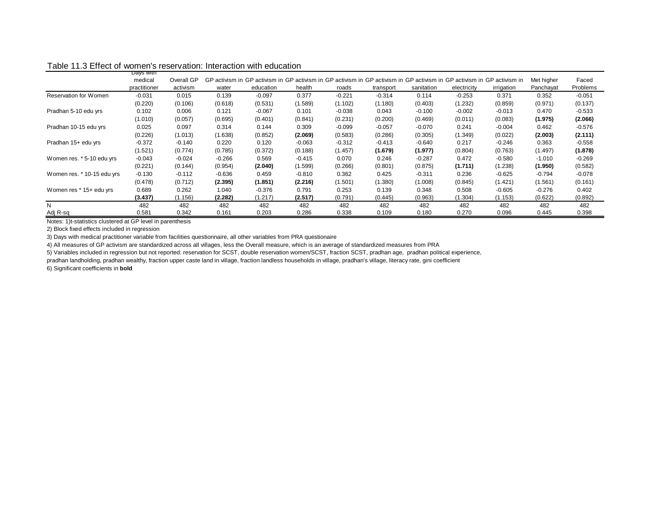|                            | Days with    |            |          |           |          |          |                                                                                                                         |            |             |            |            |          |
|----------------------------|--------------|------------|----------|-----------|----------|----------|-------------------------------------------------------------------------------------------------------------------------|------------|-------------|------------|------------|----------|
|                            | medical      | Overall GP |          |           |          |          | GP activism in GP activism in GP activism in GP activism in GP activism in GP activism in GP activism in GP activism in |            |             |            | Met higher | Faced    |
|                            | practitioner | activism   | water    | education | health   | roads    | transport                                                                                                               | sanitation | electricity | irrigation | Panchayat  | Problems |
| Reservation for Women      | $-0.031$     | 0.015      | 0.139    | $-0.097$  | 0.377    | $-0.221$ | $-0.314$                                                                                                                | 0.114      | $-0.253$    | 0.371      | 0.352      | $-0.051$ |
|                            | (0.220)      | (0.106)    | (0.618)  | (0.531)   | (1.589)  | (1.102)  | (1.180)                                                                                                                 | (0.403)    | (1.232)     | (0.859)    | (0.971)    | (0.137)  |
| Pradhan 5-10 edu yrs       | 0.102        | 0.006      | 0.121    | $-0.067$  | 0.101    | $-0.038$ | 0.043                                                                                                                   | $-0.100$   | $-0.002$    | $-0.013$   | 0.470      | $-0.533$ |
|                            | (1.010)      | (0.057)    | (0.695)  | (0.401)   | (0.841)  | (0.231)  | (0.200)                                                                                                                 | (0.469)    | (0.011)     | (0.083)    | (1.975)    | (2.066)  |
| Pradhan 10-15 edu yrs      | 0.025        | 0.097      | 0.314    | 0.144     | 0.309    | $-0.099$ | $-0.057$                                                                                                                | $-0.070$   | 0.241       | $-0.004$   | 0.462      | $-0.576$ |
|                            | (0.226)      | (1.013)    | (1.638)  | (0.852)   | (2.069)  | (0.583)  | (0.286)                                                                                                                 | (0.305)    | (1.349)     | (0.022)    | (2.003)    | (2.111)  |
| Pradhan 15+ edu yrs        | $-0.372$     | $-0.140$   | 0.220    | 0.120     | $-0.063$ | $-0.312$ | $-0.413$                                                                                                                | $-0.640$   | 0.217       | $-0.246$   | 0.363      | $-0.558$ |
|                            | (1.521)      | (0.774)    | (0.785)  | (0.372)   | (0.188)  | (1.457)  | (1.679)                                                                                                                 | (1.977)    | (0.804)     | (0.763)    | (1.497)    | (1.878)  |
| Women res. * 5-10 edu yrs  | $-0.043$     | $-0.024$   | $-0.266$ | 0.569     | $-0.415$ | 0.070    | 0.246                                                                                                                   | $-0.287$   | 0.472       | $-0.580$   | $-1.010$   | $-0.269$ |
|                            | (0.221)      | (0.144)    | (0.954)  | (2.040)   | (1.599)  | (0.266)  | (0.801)                                                                                                                 | (0.875)    | (1.711)     | (1.238)    | (1.950)    | (0.582)  |
| Women res. * 10-15 edu yrs | $-0.130$     | $-0.112$   | $-0.636$ | 0.459     | $-0.810$ | 0.362    | 0.425                                                                                                                   | $-0.311$   | 0.236       | $-0.625$   | $-0.794$   | $-0.078$ |
|                            | (0.478)      | (0.712)    | (2.395)  | (1.851)   | (2.216)  | (1.501)  | (1.380)                                                                                                                 | (1.008)    | (0.845)     | (1.421)    | (1.561)    | (0.161)  |
| Women res * 15+ edu yrs    | 0.689        | 0.262      | 1.040    | $-0.376$  | 0.791    | 0.253    | 0.139                                                                                                                   | 0.348      | 0.508       | $-0.605$   | $-0.276$   | 0.402    |
|                            | (3.437)      | (1.156)    | (2.282)  | (1.217)   | (2.517)  | (0.791)  | (0.445)                                                                                                                 | (0.963)    | (1.304)     | (1.153)    | (0.622)    | (0.892)  |
| N                          | 482          | 482        | 482      | 482       | 482      | 482      | 482                                                                                                                     | 482        | 482         | 482        | 482        | 482      |
| Adj R-sq                   | 0.581        | 0.342      | 0.161    | 0.203     | 0.286    | 0.338    | 0.109                                                                                                                   | 0.180      | 0.270       | 0.096      | 0.445      | 0.398    |

#### Table 11.3 Effect of women's reservation: Interaction with education

Notes: 1)t-statistics clustered at GP level in parenthesis

2) Block fixed effects included in regression

3) Days with medical practitioner variable from facilities questionnaire, all other variables from PRA questionaire

4) All measures of GP activism are standardized across all villages, less the Overall measure, which is an average of standardized measures from PRA

5) Variables included in regression but not reported: reservation for SCST, double reservation women/SCST, fraction SCST, pradhan age, pradhan political experience,

pradhan landholding, pradhan wealthy, fraction upper caste land in village, fraction landless households in village, pradhan's village, literacy rate, gini coefficient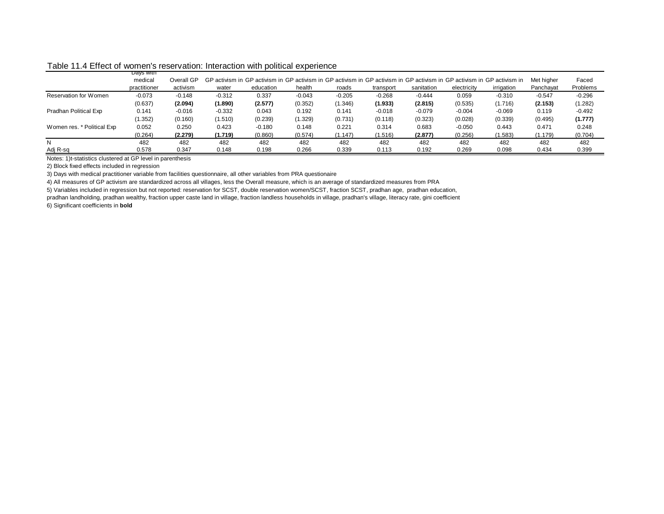|                            | <b>DUYO WILLI</b><br>medical | Overall GP |          | GP activism in GP activism in GP activism in GP activism in GP activism in GP activism in GP activism in GP activism in |          |          |           |            |             |            |           |          |
|----------------------------|------------------------------|------------|----------|-------------------------------------------------------------------------------------------------------------------------|----------|----------|-----------|------------|-------------|------------|-----------|----------|
|                            | practitioner                 | activism   | water    | education                                                                                                               | health   | roads    | transport | sanitation | electricity | irrigation | Panchayat | Problems |
| Reservation for Women      | $-0.073$                     | $-0.148$   | $-0.312$ | 0.337                                                                                                                   | $-0.043$ | $-0.205$ | $-0.268$  | $-0.444$   | 0.059       | $-0.310$   | $-0.547$  | $-0.296$ |
|                            | (0.637)                      | (2.094)    | (1.890)  | (2.577)                                                                                                                 | (0.352)  | (1.346)  | (1.933)   | (2.815)    | (0.535)     | (1.716)    | (2.153)   | (1.282)  |
| Pradhan Political Exp      | 0.141                        | $-0.016$   | $-0.332$ | 0.043                                                                                                                   | 0.192    | 0.141    | $-0.018$  | $-0.079$   | $-0.004$    | $-0.069$   | 0.119     | $-0.492$ |
|                            | (1.352)                      | (0.160)    | (1.510)  | (0.239)                                                                                                                 | (1.329)  | (0.731)  | (0.118)   | (0.323)    | (0.028)     | (0.339)    | (0.495)   | (1.777)  |
| Women res. * Political Exp | 0.052                        | 0.250      | 0.423    | $-0.180$                                                                                                                | 0.148    | 0.221    | 0.314     | 0.683      | $-0.050$    | 0.443      | 0.471     | 0.248    |
|                            | (0.264)                      | (2.279)    | (1.719)  | (0.860)                                                                                                                 | (0.574)  | (1.147)  | (1.516)   | (2.877)    | (0.256)     | 1.583)     | (1.179)   | (0.704)  |
| N                          | 482                          | 482        | 482      | 482                                                                                                                     | 482      | 482      | 482       | 482        | 482         | 482        | 482       | 482      |
| Adj R-sq                   | 0.578                        | 0.347      | 0.148    | 0.198                                                                                                                   | 0.266    | 0.339    | 0.113     | 0.192      | 0.269       | 0.098      | 0.434     | 0.399    |

### Table 11.4 Effect of women's reservation: Interaction with political experience

Notes: 1)t-statistics clustered at GP level in parenthesis

2) Block fixed effects included in regression

3) Days with medical practitioner variable from facilities questionnaire, all other variables from PRA questionaire

4) All measures of GP activism are standardized across all villages, less the Overall measure, which is an average of standardized measures from PRA

5) Variables included in regression but not reported: reservation for SCST, double reservation women/SCST, fraction SCST, pradhan age, pradhan education,

pradhan landholding, pradhan wealthy, fraction upper caste land in village, fraction landless households in village, pradhan's village, literacy rate, gini coefficient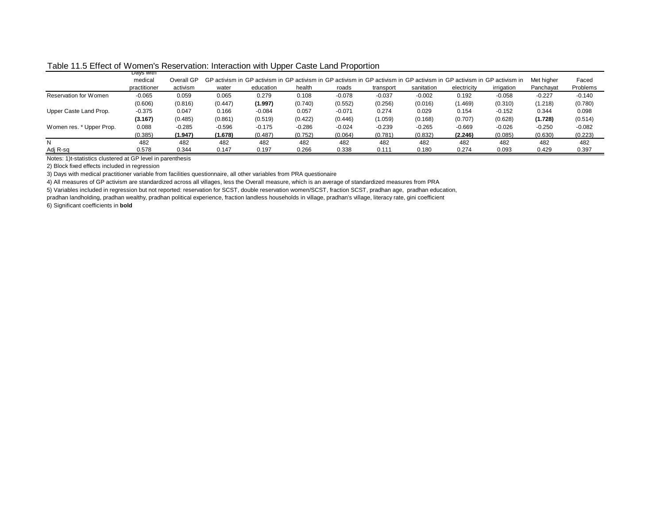|                          | <b>DUYO WILLI</b><br>medical | Overall GP |          |           | GP activism in GP activism in GP activism in GP activism in GP activism in GP activism in GP activism in GP activism in |          |           |            |             |            | Met higher | Faced    |
|--------------------------|------------------------------|------------|----------|-----------|-------------------------------------------------------------------------------------------------------------------------|----------|-----------|------------|-------------|------------|------------|----------|
|                          | practitioner                 | activism   | water    | education | health                                                                                                                  | roads    | transport | sanitation | electricity | irrigation | Panchavat  | Problems |
| Reservation for Women    | $-0.065$                     | 0.059      | 0.065    | 0.279     | 0.108                                                                                                                   | $-0.078$ | $-0.037$  | $-0.002$   | 0.192       | $-0.058$   | $-0.227$   | $-0.140$ |
|                          | (0.606)                      | (0.816)    | (0.447)  | (1.997)   | (0.740)                                                                                                                 | (0.552)  | (0.256)   | (0.016)    | (1.469)     | (0.310)    | (1.218)    | (0.780)  |
| Upper Caste Land Prop.   | $-0.375$                     | 0.047      | 0.166    | $-0.084$  | 0.057                                                                                                                   | $-0.071$ | 0.274     | 0.029      | 0.154       | $-0.152$   | 0.344      | 0.098    |
|                          | (3.167)                      | (0.485)    | (0.861)  | (0.519)   | (0.422)                                                                                                                 | (0.446)  | (1.059)   | (0.168)    | (0.707)     | (0.628)    | (1.728)    | (0.514)  |
| Women res. * Upper Prop. | 0.088                        | $-0.285$   | $-0.596$ | $-0.175$  | $-0.286$                                                                                                                | $-0.024$ | $-0.239$  | $-0.265$   | $-0.669$    | $-0.026$   | $-0.250$   | $-0.082$ |
|                          | (0.385)                      | (1.947)    | (1.678)  | (0.487)   | (0.752)                                                                                                                 | (0.064)  | (0.781)   | (0.832)    | (2.246)     | (0.085)    | (0.630)    | (0.223)  |
| N                        | 482                          | 482        | 482      | 482       | 482                                                                                                                     | 482      | 482       | 482        | 482         | 482        | 482        | 482      |
| Adj R-sq                 | 0.578                        | 0.344      | 0.147    | 0.197     | 0.266                                                                                                                   | 0.338    | 0.111     | 0.180      | 0.274       | 0.093      | 0.429      | 0.397    |

### Table 11.5 Effect of Women's Reservation: Interaction with Upper Caste Land Proportion

Notes: 1)t-statistics clustered at GP level in parenthesis

2) Block fixed effects included in regression

3) Days with medical practitioner variable from facilities questionnaire, all other variables from PRA questionaire

4) All measures of GP activism are standardized across all villages, less the Overall measure, which is an average of standardized measures from PRA

5) Variables included in regression but not reported: reservation for SCST, double reservation women/SCST, fraction SCST, pradhan age, pradhan education,

pradhan landholding, pradhan wealthy, pradhan political experience, fraction landless households in village, pradhan's village, literacy rate, gini coefficient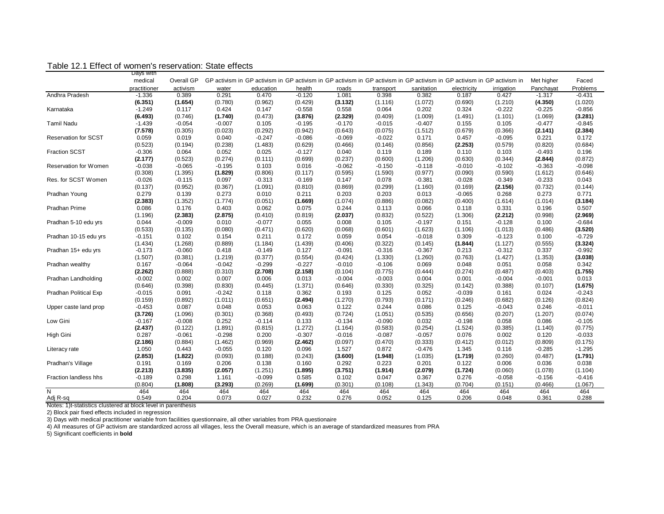|                             | Days with    |              |              |                                                                                                                         |              |              |              |              |              |              |              |              |
|-----------------------------|--------------|--------------|--------------|-------------------------------------------------------------------------------------------------------------------------|--------------|--------------|--------------|--------------|--------------|--------------|--------------|--------------|
|                             | medical      | Overall GP   |              | GP activism in GP activism in GP activism in GP activism in GP activism in GP activism in GP activism in GP activism in |              |              |              |              |              |              | Met higher   | Faced        |
|                             | practitioner | activism     | water        | education                                                                                                               | health       | roads        | transport    | sanitation   | electricity  | irrigation   | Panchayat    | Problems     |
| Andhra Pradesh              | $-1.336$     | 0.389        | 0.291        | 0.470                                                                                                                   | $-0.120$     | 1.081        | 0.398        | 0.382        | 0.187        | 0.427        | $-1.317$     | $-0.431$     |
|                             | (6.351)      | (1.654)      | (0.780)      | (0.962)                                                                                                                 | (0.429)      | (3.132)      | (1.116)      | (1.072)      | (0.690)      | (1.210)      | (4.350)      | (1.020)      |
| Karnataka                   | $-1.249$     | 0.117        | 0.424        | 0.147                                                                                                                   | $-0.558$     | 0.558        | 0.064        | 0.202        | 0.324        | $-0.222$     | $-0.225$     | $-0.856$     |
|                             | (6.493)      | (0.746)      | (1.740)      | (0.473)                                                                                                                 | (3.876)      | (2.329)      | (0.409)      | (1.009)      | (1.491)      | (1.101)      | (1.069)      | (3.281)      |
| <b>Tamil Nadu</b>           | $-1.439$     | $-0.054$     | $-0.007$     | 0.105                                                                                                                   | $-0.195$     | $-0.170$     | $-0.015$     | $-0.407$     | 0.155        | 0.105        | $-0.477$     | $-0.845$     |
|                             | (7.578)      | (0.305)      | (0.023)      | (0.292)                                                                                                                 | (0.942)      | (0.643)      | (0.075)      | (1.512)      | (0.679)      | (0.366)      | (2.141)      | (2.384)      |
| <b>Reservation for SCST</b> | 0.059        | 0.019        | 0.040        | $-0.247$                                                                                                                | $-0.086$     | $-0.069$     | $-0.022$     | 0.171        | 0.457        | $-0.095$     | 0.221        | 0.172        |
|                             | (0.523)      | (0.194)      | (0.238)      | (1.483)                                                                                                                 | (0.629)      | (0.466)      | (0.146)      | (0.856)      | (2.253)      | (0.579)      | (0.820)      | (0.684)      |
| Fraction SCST               | $-0.306$     | 0.064        | 0.052        | 0.025                                                                                                                   | $-0.127$     | 0.040        | 0.119        | 0.189        | 0.110        | 0.103        | $-0.493$     | 0.196        |
|                             | (2.177)      | (0.523)      | (0.274)      | (0.111)                                                                                                                 | (0.699)      | (0.237)      | (0.600)      | (1.206)      | (0.630)      | (0.344)      | (2.844)      | (0.872)      |
| Reservation for Women       | $-0.038$     | $-0.065$     | $-0.195$     | 0.103                                                                                                                   | 0.016        | $-0.062$     | $-0.150$     | $-0.118$     | $-0.010$     | $-0.102$     | $-0.363$     | $-0.098$     |
|                             | (0.308)      | (1.395)      | (1.829)      | (0.806)                                                                                                                 | (0.117)      | (0.595)      | (1.590)      | (0.977)      | (0.090)      | (0.590)      | (1.612)      | (0.646)      |
| Res. for SCST Women         | $-0.026$     | $-0.115$     | 0.097        | $-0.313$                                                                                                                | $-0.169$     | 0.147        | 0.078        | $-0.381$     | $-0.028$     | $-0.349$     | $-0.233$     | 0.043        |
|                             | (0.137)      | (0.952)      | (0.367)      | (1.091)                                                                                                                 | (0.810)      | (0.869)      | (0.299)      | (1.160)      | (0.169)      | (2.156)      | (0.732)      | (0.144)      |
| Pradhan Young               | 0.279        | 0.139        | 0.273        | 0.010                                                                                                                   | 0.211        | 0.203        | 0.203        | 0.013        | $-0.065$     | 0.268        | 0.273        | 0.771        |
|                             | (2.383)      | (1.352)      | (1.774)      | (0.051)                                                                                                                 | (1.669)      | (1.074)      | (0.886)      | (0.082)      | (0.400)      | (1.614)      | (1.014)      | (3.184)      |
| Pradhan Prime               | 0.086        | 0.176        | 0.403        | 0.062                                                                                                                   | 0.075        | 0.244        | 0.113        | 0.066        | 0.118        | 0.331        | 0.196        | 0.507        |
|                             | (1.196)      | (2.383)      | (2.875)      | (0.410)                                                                                                                 | (0.819)      | (2.037)      | (0.832)      | (0.522)      | (1.306)      | (2.212)      | (0.998)      | (2.969)      |
| Pradhan 5-10 edu yrs        | 0.044        | $-0.009$     | 0.010        | $-0.077$                                                                                                                | 0.055        | 0.008        | 0.105        | $-0.197$     | 0.151        | $-0.128$     | 0.100        | $-0.684$     |
|                             | (0.533)      | (0.135)      | (0.080)      | (0.471)                                                                                                                 | (0.620)      | (0.068)      | (0.601)      | (1.623)      | (1.106)      | (1.013)      | (0.486)      | (3.520)      |
| Pradhan 10-15 edu yrs       | $-0.151$     | 0.102        | 0.154        | 0.211                                                                                                                   | 0.172        | 0.059        | 0.054        | $-0.018$     | 0.309        | $-0.123$     | 0.100        | $-0.729$     |
|                             | (1.434)      | (1.268)      | (0.889)      | (1.184)                                                                                                                 | (1.439)      | (0.406)      | (0.322)      | (0.145)      | (1.844)      | (1.127)      | (0.555)      | (3.324)      |
| Pradhan 15+ edu yrs         | $-0.173$     | $-0.060$     | 0.418        | $-0.149$                                                                                                                | 0.127        | $-0.091$     | $-0.316$     | $-0.367$     | 0.213        | $-0.312$     | 0.337        | $-0.992$     |
|                             | (1.507)      | (0.381)      | (1.219)      | (0.377)                                                                                                                 | (0.554)      | (0.424)      | (1.330)      | (1.260)      | (0.763)      | (1.427)      | (1.353)      | (3.038)      |
| Pradhan wealthy             | 0.167        | $-0.064$     | $-0.042$     | $-0.299$                                                                                                                | $-0.227$     | $-0.010$     | $-0.106$     | 0.069        | 0.048        | 0.051        | 0.058        | 0.342        |
|                             | (2.262)      | (0.888)      | (0.310)      | (2.708)                                                                                                                 | (2.158)      | (0.104)      | (0.775)      | (0.444)      | (0.274)      | (0.487)      | (0.403)      | (1.755)      |
| Pradhan Landholding         | $-0.002$     | 0.002        | 0.007        | 0.006                                                                                                                   | 0.013        | $-0.004$     | $-0.003$     | 0.004        | 0.001        | $-0.004$     | $-0.001$     | 0.013        |
|                             | (0.646)      | (0.398)      | (0.830)      | (0.445)                                                                                                                 | (1.371)      | (0.646)      | (0.330)      | (0.325)      | (0.142)      | (0.388)      | (0.107)      | (1.675)      |
| Pradhan Political Exp       | $-0.015$     | 0.091        | $-0.242$     | 0.118                                                                                                                   | 0.362        | 0.193        | 0.125        | 0.052        | $-0.039$     | 0.161        | 0.024        | $-0.243$     |
|                             | (0.159)      | (0.892)      | (1.011)      | (0.651)                                                                                                                 | (2.494)      | (1.270)      | (0.793)      | (0.171)      | (0.246)      | (0.682)      | (0.126)      | (0.824)      |
| Upper caste land prop       | $-0.453$     | 0.087        | 0.048        | 0.053                                                                                                                   | 0.063        | 0.122        | 0.244        | 0.086        | 0.125        | $-0.043$     | 0.246        | $-0.011$     |
|                             | (3.726)      | (1.096)      | (0.301)      | (0.368)                                                                                                                 | (0.493)      | (0.724)      | (1.051)      | (0.535)      | (0.656)      | (0.207)      | (1.207)      | (0.074)      |
| Low Gini                    | $-0.167$     | $-0.008$     | 0.252        | $-0.114$                                                                                                                | 0.133        | $-0.134$     | $-0.090$     | 0.032        | $-0.198$     | 0.058        | 0.086        | $-0.105$     |
|                             | (2.437)      | (0.122)      | (1.891)      | (0.815)                                                                                                                 | (1.272)      | (1.164)      | (0.583)      | (0.254)      | (1.524)      | (0.385)      | (1.140)      | (0.775)      |
| High Gini                   | 0.287        | $-0.061$     | $-0.298$     | 0.200                                                                                                                   | $-0.307$     | $-0.016$     | $-0.087$     | $-0.057$     | 0.076        | 0.002        | 0.120        | $-0.033$     |
|                             | (2.186)      | (0.884)      | (1.462)      | (0.969)                                                                                                                 | (2.462)      | (0.097)      | (0.470)      | (0.333)      | (0.412)      | (0.012)      | (0.809)      | (0.175)      |
| Literacy rate               | 1.050        | 0.443        | $-0.055$     | 0.120                                                                                                                   | 0.096        | 1.527        | 0.872        | $-0.476$     | 1.345        | 0.116        | $-0.285$     | $-1.295$     |
|                             | (2.853)      | (1.822)      | (0.093)      | (0.188)                                                                                                                 | (0.243)      | (3.600)      | (1.948)      | (1.035)      | (1.719)      | (0.260)      | (0.487)      | (1.791)      |
| Pradhan's Village           | 0.191        | 0.169        | 0.206        | 0.138                                                                                                                   | 0.160        | 0.292        | 0.223        | 0.201        | 0.122        | 0.006        | 0.036        | 0.038        |
|                             | (2.213)      | (3.835)      | (2.057)      | (1.251)                                                                                                                 | (1.895)      | (3.751)      | (1.914)      | (2.079)      | (1.724)      | (0.060)      | (1.078)      | (1.104)      |
| Fraction landless hhs       | $-0.189$     | 0.298        | 1.161        | $-0.099$                                                                                                                | 0.585        | 0.102        | 0.047        | 0.367        | 0.276        | $-0.058$     | $-0.156$     | $-0.416$     |
|                             | (0.804)      | (1.808)      | (3.293)      | (0.269)                                                                                                                 | (1.699)      | (0.301)      | (0.108)      | (1.343)      | (0.704)      | (0.151)      | (0.466)      | (1.067)      |
| N<br>Adj R-sq               | 464<br>0.549 | 464<br>0.204 | 464<br>0.073 | 464<br>0.027                                                                                                            | 464<br>0.232 | 464<br>0.276 | 464<br>0.052 | 464<br>0.125 | 464<br>0.206 | 464<br>0.048 | 464<br>0.361 | 464<br>0.288 |

#### Table 12.1 Effect of women's reservation: State effects

Notes: 1)t-statistics clustered at block level in parenthesis

2) Block pair fixed effects included in regression

3) Days with medical practitioner variable from facilities questionnaire, all other variables from PRA questionaire

4) All measures of GP activism are standardized across all villages, less the Overall measure, which is an average of standardized measures from PRA